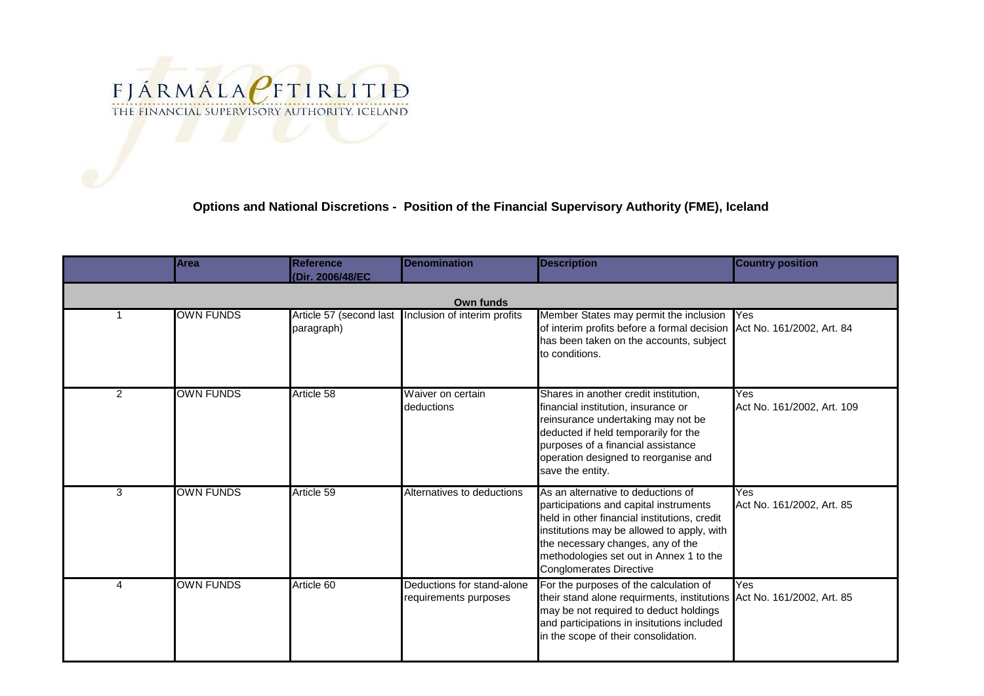

## **Options and National Discretions - Position of the Financial Supervisory Authority (FME), Iceland**

|                | <b>Area</b>      | <b>Reference</b><br>(Dir. 2006/48/EC | <b>Denomination</b>                                    | <b>Description</b>                                                                                                                                                                                                                                                                           | <b>Country position</b>           |  |  |  |  |
|----------------|------------------|--------------------------------------|--------------------------------------------------------|----------------------------------------------------------------------------------------------------------------------------------------------------------------------------------------------------------------------------------------------------------------------------------------------|-----------------------------------|--|--|--|--|
| Own funds      |                  |                                      |                                                        |                                                                                                                                                                                                                                                                                              |                                   |  |  |  |  |
|                | <b>OWN FUNDS</b> | paragraph)                           | Article 57 (second last   Inclusion of interim profits | Member States may permit the inclusion Yes<br>of interim profits before a formal decision Act No. 161/2002, Art. 84<br>has been taken on the accounts, subject<br>to conditions.                                                                                                             |                                   |  |  |  |  |
| $\overline{2}$ | <b>OWN FUNDS</b> | Article 58                           | Waiver on certain<br>deductions                        | Shares in another credit institution,<br>financial institution, insurance or<br>reinsurance undertaking may not be<br>deducted if held temporarily for the<br>purposes of a financial assistance<br>operation designed to reorganise and<br>save the entity.                                 | Yes<br>Act No. 161/2002, Art. 109 |  |  |  |  |
| 3              | <b>OWN FUNDS</b> | Article 59                           | Alternatives to deductions                             | As an alternative to deductions of<br>participations and capital instruments<br>held in other financial institutions, credit<br>institutions may be allowed to apply, with<br>the necessary changes, any of the<br>methodologies set out in Annex 1 to the<br><b>Conglomerates Directive</b> | Yes<br>Act No. 161/2002, Art. 85  |  |  |  |  |
| $\Delta$       | <b>OWN FUNDS</b> | Article 60                           | Deductions for stand-alone<br>requirements purposes    | For the purposes of the calculation of<br>their stand alone requirments, institutions Act No. 161/2002, Art. 85<br>may be not required to deduct holdings<br>and participations in insitutions included<br>in the scope of their consolidation.                                              | Yes                               |  |  |  |  |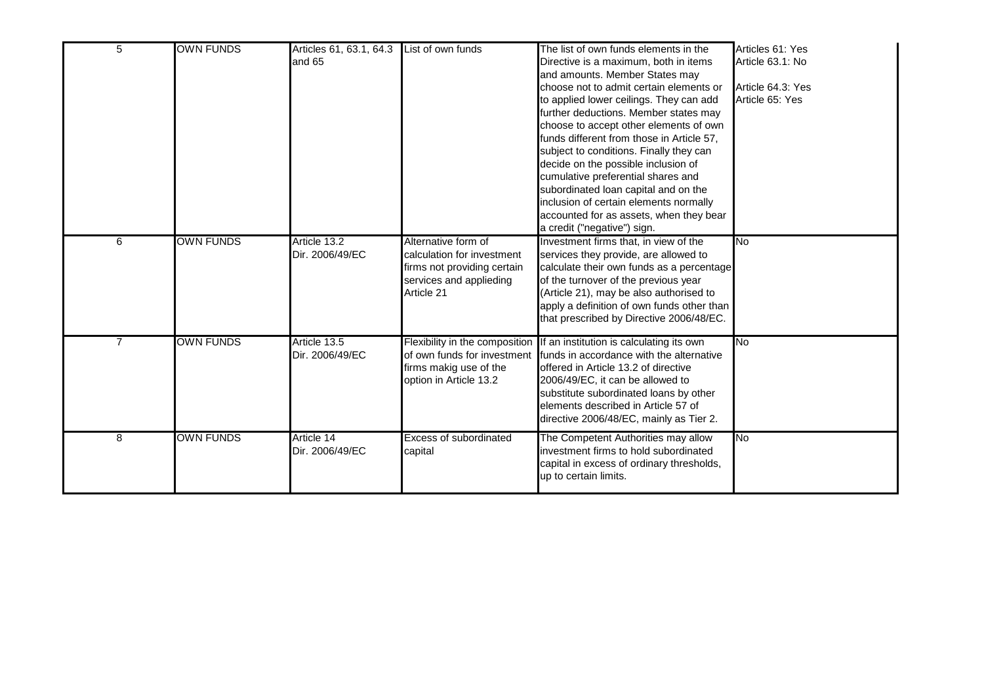| 5 | <b>OWN FUNDS</b> | Articles 61, 63.1, 64.3 List of own funds<br>and 65 |                                                                                                                           | The list of own funds elements in the<br>Directive is a maximum, both in items<br>and amounts. Member States may<br>choose not to admit certain elements or<br>to applied lower ceilings. They can add<br>further deductions. Member states may<br>choose to accept other elements of own<br>funds different from those in Article 57,<br>subject to conditions. Finally they can<br>decide on the possible inclusion of<br>cumulative preferential shares and<br>subordinated loan capital and on the<br>inclusion of certain elements normally<br>accounted for as assets, when they bear<br>a credit ("negative") sign. | Articles 61: Yes<br>Article 63.1: No<br>Article 64.3: Yes<br>Article 65: Yes |
|---|------------------|-----------------------------------------------------|---------------------------------------------------------------------------------------------------------------------------|----------------------------------------------------------------------------------------------------------------------------------------------------------------------------------------------------------------------------------------------------------------------------------------------------------------------------------------------------------------------------------------------------------------------------------------------------------------------------------------------------------------------------------------------------------------------------------------------------------------------------|------------------------------------------------------------------------------|
| 6 | <b>OWN FUNDS</b> | Article 13.2<br>Dir. 2006/49/EC                     | Alternative form of<br>calculation for investment<br>firms not providing certain<br>services and applieding<br>Article 21 | Investment firms that, in view of the<br>services they provide, are allowed to<br>calculate their own funds as a percentage<br>of the turnover of the previous year<br>(Article 21), may be also authorised to<br>apply a definition of own funds other than<br>that prescribed by Directive 2006/48/EC.                                                                                                                                                                                                                                                                                                                   | <b>No</b>                                                                    |
|   | <b>OWN FUNDS</b> | Article 13.5<br>Dir. 2006/49/EC                     | Flexibility in the composition<br>of own funds for investment<br>firms makig use of the<br>option in Article 13.2         | If an institution is calculating its own<br>funds in accordance with the alternative<br>offered in Article 13.2 of directive<br>2006/49/EC, it can be allowed to<br>substitute subordinated loans by other<br>elements described in Article 57 of<br>directive 2006/48/EC, mainly as Tier 2.                                                                                                                                                                                                                                                                                                                               | <b>No</b>                                                                    |
| 8 | <b>OWN FUNDS</b> | Article 14<br>Dir. 2006/49/EC                       | <b>Excess of subordinated</b><br>capital                                                                                  | The Competent Authorities may allow<br>investment firms to hold subordinated<br>capital in excess of ordinary thresholds,<br>up to certain limits.                                                                                                                                                                                                                                                                                                                                                                                                                                                                         | <b>No</b>                                                                    |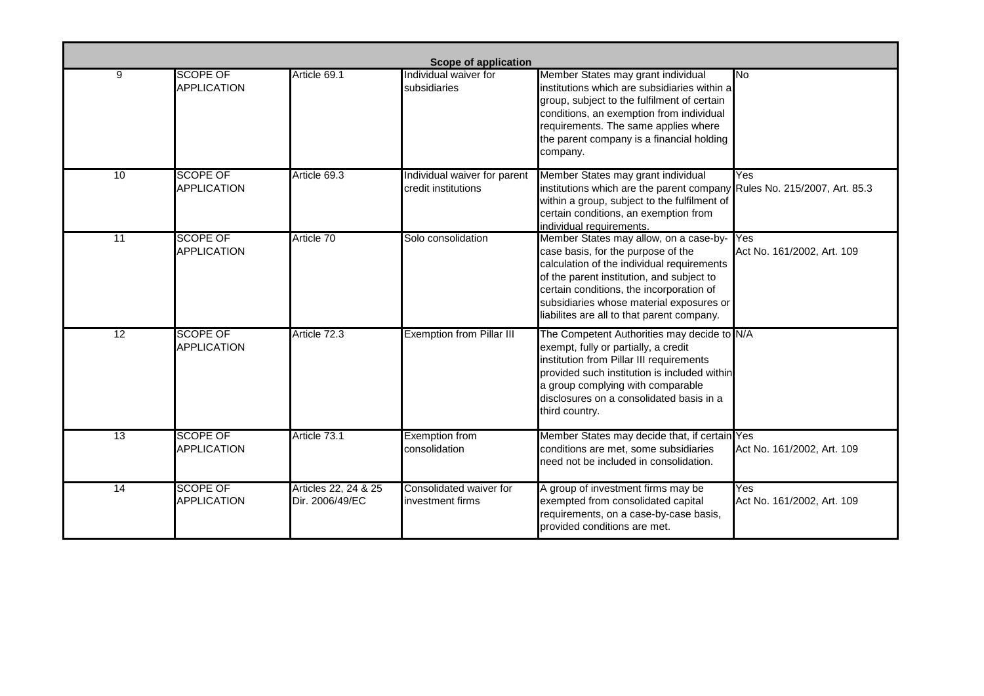|    | Scope of application                  |                                         |                                                     |                                                                                                                                                                                                                                                                                                               |                                   |  |  |  |  |
|----|---------------------------------------|-----------------------------------------|-----------------------------------------------------|---------------------------------------------------------------------------------------------------------------------------------------------------------------------------------------------------------------------------------------------------------------------------------------------------------------|-----------------------------------|--|--|--|--|
| 9  | <b>SCOPE OF</b><br><b>APPLICATION</b> | Article 69.1                            | Individual waiver for<br>subsidiaries               | Member States may grant individual<br>institutions which are subsidiaries within a<br>group, subject to the fulfilment of certain<br>conditions, an exemption from individual<br>requirements. The same applies where<br>the parent company is a financial holding<br>company.                                | <b>No</b>                         |  |  |  |  |
| 10 | <b>SCOPE OF</b><br><b>APPLICATION</b> | Article 69.3                            | Individual waiver for parent<br>credit institutions | Member States may grant individual<br>institutions which are the parent company Rules No. 215/2007, Art. 85.3<br>within a group, subject to the fulfilment of<br>certain conditions, an exemption from<br>individual requirements.                                                                            | Yes                               |  |  |  |  |
| 11 | <b>SCOPE OF</b><br><b>APPLICATION</b> | Article 70                              | Solo consolidation                                  | Member States may allow, on a case-by-<br>case basis, for the purpose of the<br>calculation of the individual requirements<br>of the parent institution, and subject to<br>certain conditions, the incorporation of<br>subsidiaries whose material exposures or<br>liabilites are all to that parent company. | Yes<br>Act No. 161/2002, Art. 109 |  |  |  |  |
| 12 | <b>SCOPE OF</b><br><b>APPLICATION</b> | Article 72.3                            | <b>Exemption from Pillar III</b>                    | The Competent Authorities may decide to N/A<br>exempt, fully or partially, a credit<br>institution from Pillar III requirements<br>provided such institution is included within<br>a group complying with comparable<br>disclosures on a consolidated basis in a<br>third country.                            |                                   |  |  |  |  |
| 13 | <b>SCOPE OF</b><br><b>APPLICATION</b> | Article 73.1                            | <b>Exemption from</b><br>consolidation              | Member States may decide that, if certain Yes<br>conditions are met, some subsidiaries<br>need not be included in consolidation.                                                                                                                                                                              | Act No. 161/2002, Art. 109        |  |  |  |  |
| 14 | <b>SCOPE OF</b><br><b>APPLICATION</b> | Articles 22, 24 & 25<br>Dir. 2006/49/EC | Consolidated waiver for<br>investment firms         | A group of investment firms may be<br>exempted from consolidated capital<br>requirements, on a case-by-case basis,<br>provided conditions are met.                                                                                                                                                            | Yes<br>Act No. 161/2002, Art. 109 |  |  |  |  |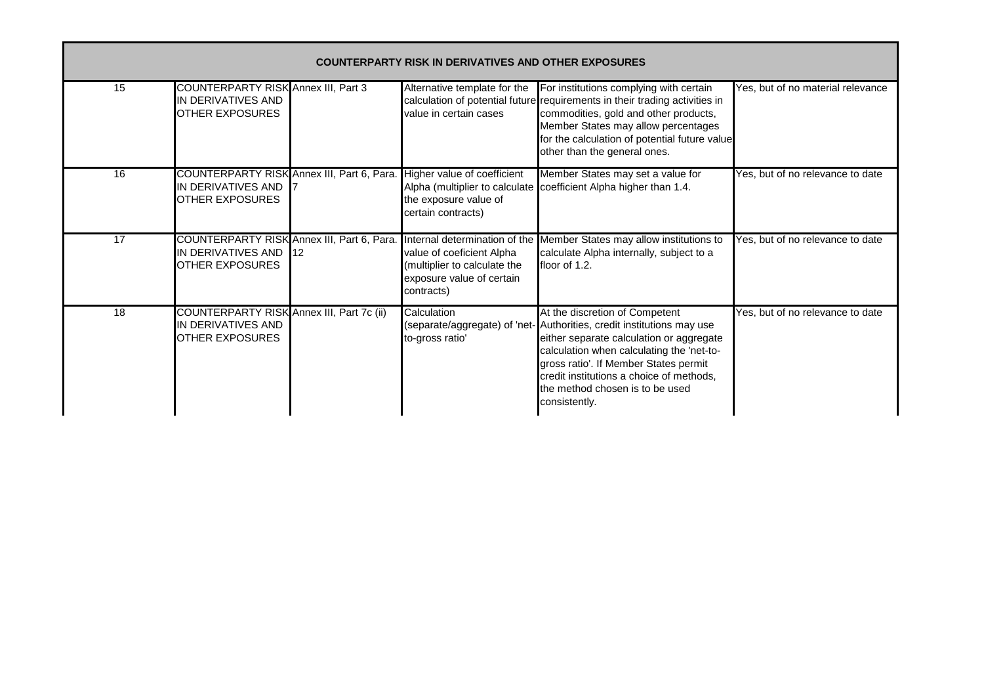| <b>COUNTERPARTY RISK IN DERIVATIVES AND OTHER EXPOSURES</b> |                                                                                            |     |                                                                                                                                       |                                                                                                                                                                                                                                                                                                                                            |                                   |  |  |  |
|-------------------------------------------------------------|--------------------------------------------------------------------------------------------|-----|---------------------------------------------------------------------------------------------------------------------------------------|--------------------------------------------------------------------------------------------------------------------------------------------------------------------------------------------------------------------------------------------------------------------------------------------------------------------------------------------|-----------------------------------|--|--|--|
| 15                                                          | <b>COUNTERPARTY RISK Annex III, Part 3</b><br>IN DERIVATIVES AND<br><b>OTHER EXPOSURES</b> |     | Alternative template for the<br>value in certain cases                                                                                | For institutions complying with certain<br>calculation of potential future requirements in their trading activities in<br>commodities, gold and other products,<br>Member States may allow percentages<br>for the calculation of potential future value<br>other than the general ones.                                                    | Yes, but of no material relevance |  |  |  |
| 16                                                          | COUNTERPARTY RISK Annex III, Part 6, Para.<br>IN DERIVATIVES AND<br><b>OTHER EXPOSURES</b> |     | Higher value of coefficient<br>the exposure value of<br>certain contracts)                                                            | Member States may set a value for<br>Alpha (multiplier to calculate coefficient Alpha higher than 1.4.                                                                                                                                                                                                                                     | Yes, but of no relevance to date  |  |  |  |
| 17                                                          | COUNTERPARTY RISK Annex III, Part 6, Para.<br>IN DERIVATIVES AND<br><b>OTHER EXPOSURES</b> | 112 | Internal determination of the<br>value of coeficient Alpha<br>(multiplier to calculate the<br>exposure value of certain<br>contracts) | Member States may allow institutions to<br>calculate Alpha internally, subject to a<br>floor of 1.2.                                                                                                                                                                                                                                       | Yes, but of no relevance to date  |  |  |  |
| 18                                                          | COUNTERPARTY RISK Annex III, Part 7c (ii)<br>IN DERIVATIVES AND<br><b>OTHER EXPOSURES</b>  |     | Calculation<br>to-gross ratio'                                                                                                        | At the discretion of Competent<br>(separate/aggregate) of 'net- Authorities, credit institutions may use<br>either separate calculation or aggregate<br>calculation when calculating the 'net-to-<br>gross ratio'. If Member States permit<br>credit institutions a choice of methods,<br>the method chosen is to be used<br>consistently. | Yes, but of no relevance to date  |  |  |  |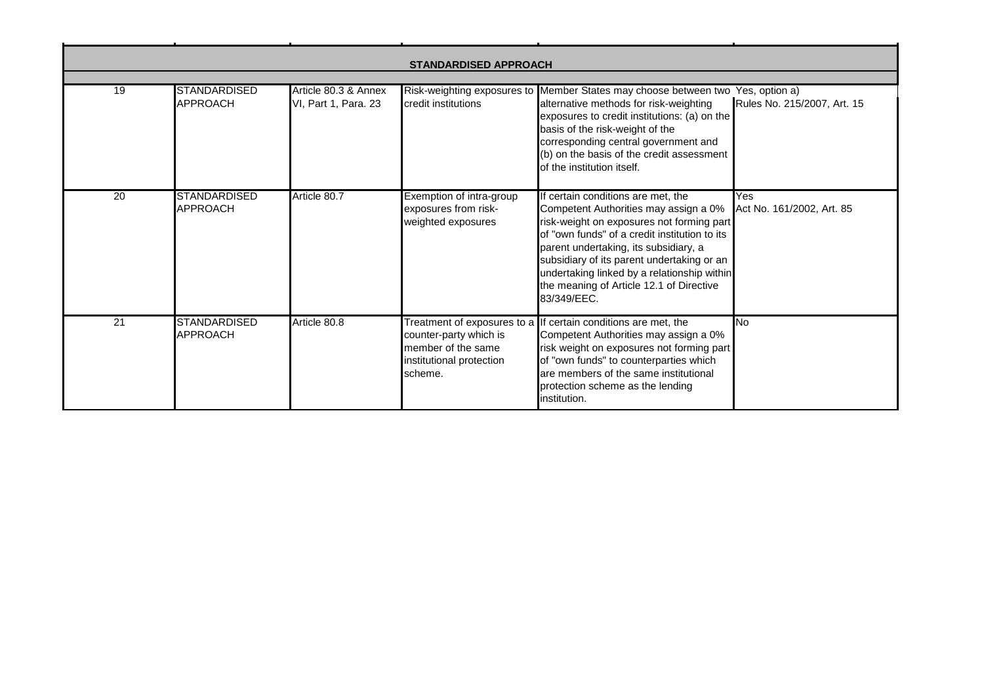| <b>STANDARDISED APPROACH</b> |                                        |                                              |                                                                                     |                                                                                                                                                                                                                                                                                                                                                                            |                                               |  |  |  |
|------------------------------|----------------------------------------|----------------------------------------------|-------------------------------------------------------------------------------------|----------------------------------------------------------------------------------------------------------------------------------------------------------------------------------------------------------------------------------------------------------------------------------------------------------------------------------------------------------------------------|-----------------------------------------------|--|--|--|
|                              |                                        |                                              |                                                                                     |                                                                                                                                                                                                                                                                                                                                                                            |                                               |  |  |  |
| 19                           | <b>STANDARDISED</b><br><b>APPROACH</b> | Article 80.3 & Annex<br>VI, Part 1, Para. 23 | credit institutions                                                                 | Risk-weighting exposures to Member States may choose between two<br>alternative methods for risk-weighting<br>exposures to credit institutions: (a) on the<br>basis of the risk-weight of the<br>corresponding central government and<br>(b) on the basis of the credit assessment<br>of the institution itself.                                                           | Yes, option a)<br>Rules No. 215/2007, Art. 15 |  |  |  |
| 20                           | <b>STANDARDISED</b><br><b>APPROACH</b> | Article 80.7                                 | Exemption of intra-group<br>exposures from risk-<br>weighted exposures              | If certain conditions are met, the<br>Competent Authorities may assign a 0%<br>risk-weight on exposures not forming part<br>of "own funds" of a credit institution to its<br>parent undertaking, its subsidiary, a<br>subsidiary of its parent undertaking or an<br>undertaking linked by a relationship within<br>the meaning of Article 12.1 of Directive<br>83/349/EEC. | Yes<br>Act No. 161/2002, Art. 85              |  |  |  |
| 21                           | <b>STANDARDISED</b><br><b>APPROACH</b> | Article 80.8                                 | counter-party which is<br>member of the same<br>institutional protection<br>scheme. | Treatment of exposures to a If certain conditions are met, the<br>Competent Authorities may assign a 0%<br>risk weight on exposures not forming part<br>of "own funds" to counterparties which<br>are members of the same institutional<br>protection scheme as the lending<br>institution.                                                                                | <b>No</b>                                     |  |  |  |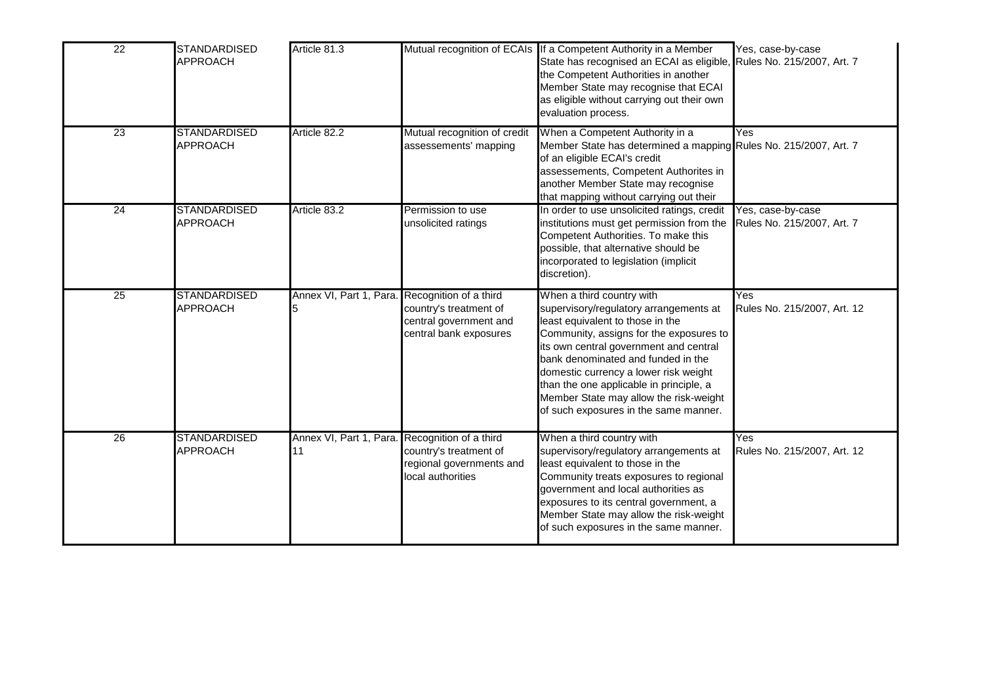| $\overline{22}$ | <b>STANDARDISED</b><br><b>APPROACH</b> | Article 81.3                                         |                                                                                                      | Mutual recognition of ECAIs If a Competent Authority in a Member<br>State has recognised an ECAI as eligible, Rules No. 215/2007, Art. 7<br>the Competent Authorities in another<br>Member State may recognise that ECAI<br>as eligible without carrying out their own<br>evaluation process.                                                                                                             | Yes, case-by-case                               |
|-----------------|----------------------------------------|------------------------------------------------------|------------------------------------------------------------------------------------------------------|-----------------------------------------------------------------------------------------------------------------------------------------------------------------------------------------------------------------------------------------------------------------------------------------------------------------------------------------------------------------------------------------------------------|-------------------------------------------------|
| 23              | <b>STANDARDISED</b><br><b>APPROACH</b> | Article 82.2                                         | Mutual recognition of credit<br>assessements' mapping                                                | When a Competent Authority in a<br>Member State has determined a mapping Rules No. 215/2007, Art. 7<br>of an eligible ECAI's credit<br>assessements, Competent Authorites in<br>another Member State may recognise<br>that mapping without carrying out their                                                                                                                                             | Yes                                             |
| 24              | <b>STANDARDISED</b><br><b>APPROACH</b> | Article 83.2                                         | Permission to use<br>unsolicited ratings                                                             | In order to use unsolicited ratings, credit<br>institutions must get permission from the<br>Competent Authorities. To make this<br>possible, that alternative should be<br>incorporated to legislation (implicit<br>discretion).                                                                                                                                                                          | Yes, case-by-case<br>Rules No. 215/2007, Art. 7 |
| 25              | <b>STANDARDISED</b><br><b>APPROACH</b> | Annex VI, Part 1, Para.                              | Recognition of a third<br>country's treatment of<br>central government and<br>central bank exposures | When a third country with<br>supervisory/regulatory arrangements at<br>least equivalent to those in the<br>Community, assigns for the exposures to<br>its own central government and central<br>bank denominated and funded in the<br>domestic currency a lower risk weight<br>than the one applicable in principle, a<br>Member State may allow the risk-weight<br>of such exposures in the same manner. | Yes<br>Rules No. 215/2007, Art. 12              |
| 26              | <b>STANDARDISED</b><br><b>APPROACH</b> | Annex VI, Part 1, Para. Recognition of a third<br>11 | country's treatment of<br>regional governments and<br>local authorities                              | When a third country with<br>supervisory/regulatory arrangements at<br>least equivalent to those in the<br>Community treats exposures to regional<br>government and local authorities as<br>exposures to its central government, a<br>Member State may allow the risk-weight<br>of such exposures in the same manner.                                                                                     | Yes<br>Rules No. 215/2007, Art. 12              |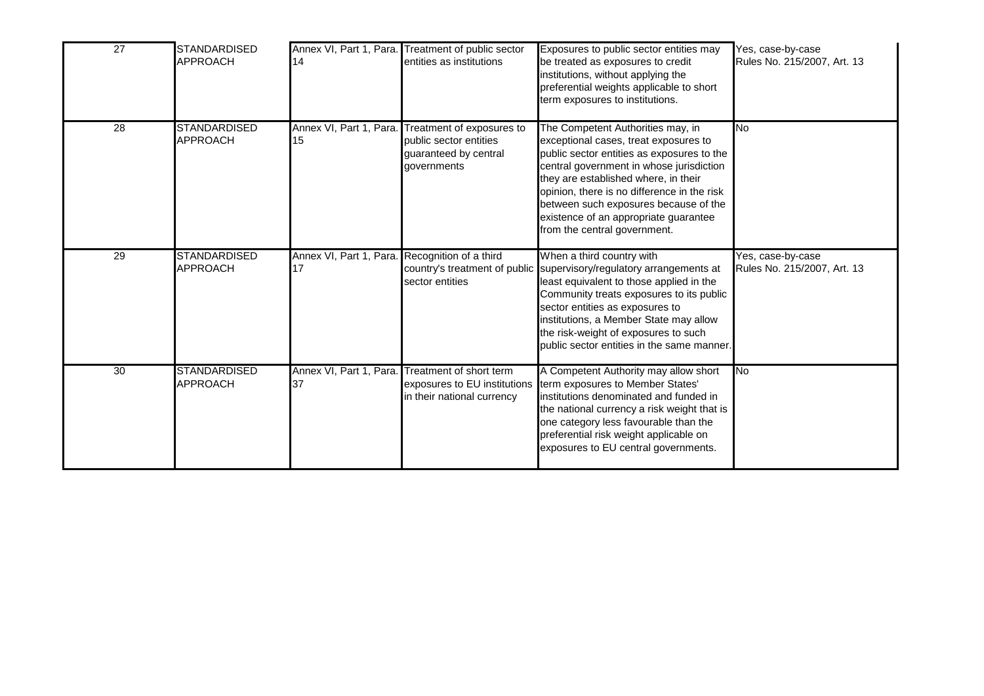| $\overline{27}$ | <b>STANDARDISED</b><br><b>APPROACH</b> | 14                                                   | Annex VI, Part 1, Para. Treatment of public sector<br>entities as institutions                                      | Exposures to public sector entities may<br>be treated as exposures to credit<br>institutions, without applying the<br>preferential weights applicable to short<br>term exposures to institutions.                                                                                                                                                                             | Yes, case-by-case<br>Rules No. 215/2007, Art. 13 |
|-----------------|----------------------------------------|------------------------------------------------------|---------------------------------------------------------------------------------------------------------------------|-------------------------------------------------------------------------------------------------------------------------------------------------------------------------------------------------------------------------------------------------------------------------------------------------------------------------------------------------------------------------------|--------------------------------------------------|
| 28              | <b>STANDARDISED</b><br><b>APPROACH</b> | 15                                                   | Annex VI, Part 1, Para. Treatment of exposures to<br>public sector entities<br>guaranteed by central<br>governments | The Competent Authorities may, in<br>exceptional cases, treat exposures to<br>public sector entities as exposures to the<br>central government in whose jurisdiction<br>they are established where, in their<br>opinion, there is no difference in the risk<br>between such exposures because of the<br>existence of an appropriate guarantee<br>from the central government. | <b>No</b>                                        |
| 29              | <b>STANDARDISED</b><br><b>APPROACH</b> | Annex VI, Part 1, Para. Recognition of a third<br>17 | sector entities                                                                                                     | When a third country with<br>country's treatment of public supervisory/regulatory arrangements at<br>least equivalent to those applied in the<br>Community treats exposures to its public<br>sector entities as exposures to<br>institutions, a Member State may allow<br>the risk-weight of exposures to such<br>public sector entities in the same manner.                  | Yes, case-by-case<br>Rules No. 215/2007, Art. 13 |
| $\overline{30}$ | <b>STANDARDISED</b><br><b>APPROACH</b> | Annex VI, Part 1, Para.<br>37                        | Treatment of short term<br>exposures to EU institutions<br>in their national currency                               | A Competent Authority may allow short<br>term exposures to Member States'<br>institutions denominated and funded in<br>the national currency a risk weight that is<br>one category less favourable than the<br>preferential risk weight applicable on<br>exposures to EU central governments.                                                                                 | <b>INo</b>                                       |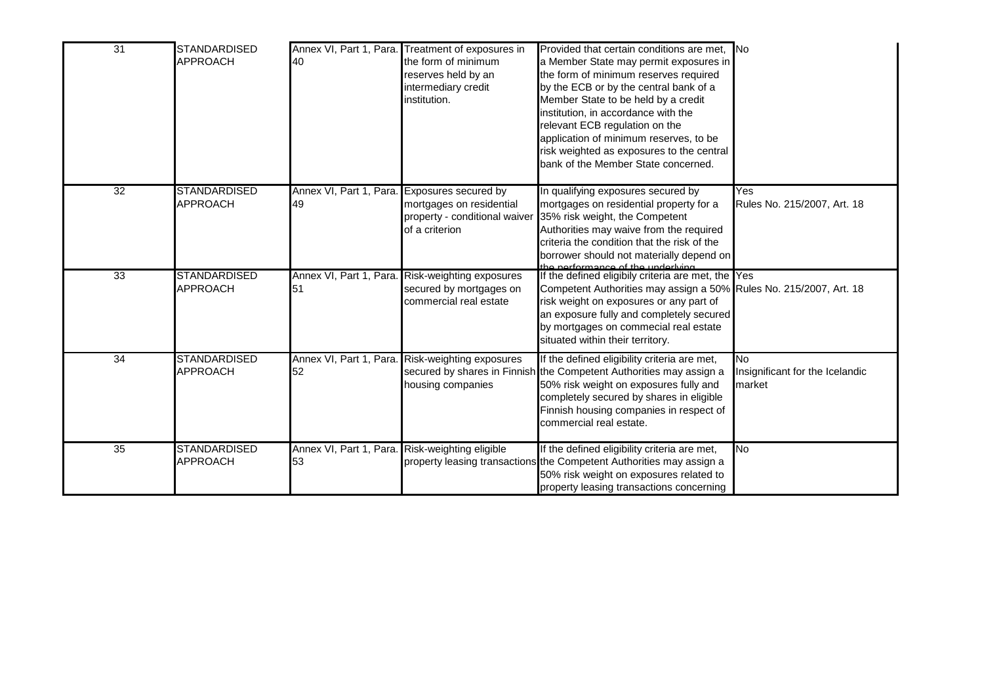| $\overline{31}$ | <b>STANDARDISED</b><br><b>APPROACH</b> | Annex VI, Part 1, Para.<br>40                         | Treatment of exposures in<br>the form of minimum<br>reserves held by an<br>intermediary credit<br>institution. | Provided that certain conditions are met. No<br>a Member State may permit exposures in<br>the form of minimum reserves required<br>by the ECB or by the central bank of a<br>Member State to be held by a credit<br>institution, in accordance with the<br>relevant ECB regulation on the<br>application of minimum reserves, to be<br>risk weighted as exposures to the central<br>bank of the Member State concerned. |                                                        |
|-----------------|----------------------------------------|-------------------------------------------------------|----------------------------------------------------------------------------------------------------------------|-------------------------------------------------------------------------------------------------------------------------------------------------------------------------------------------------------------------------------------------------------------------------------------------------------------------------------------------------------------------------------------------------------------------------|--------------------------------------------------------|
| 32              | <b>STANDARDISED</b><br><b>APPROACH</b> | Annex VI, Part 1, Para. Exposures secured by<br>49    | mortgages on residential<br>property - conditional waiver<br>of a criterion                                    | In qualifying exposures secured by<br>mortgages on residential property for a<br>35% risk weight, the Competent<br>Authorities may waive from the required<br>criteria the condition that the risk of the<br>borrower should not materially depend on                                                                                                                                                                   | Yes<br>Rules No. 215/2007, Art. 18                     |
| 33              | <b>STANDARDISED</b><br><b>APPROACH</b> | 51                                                    | Annex VI, Part 1, Para. Risk-weighting exposures<br>secured by mortgages on<br>commercial real estate          | the performance of the underlying<br>If the defined eligibily criteria are met, the Yes<br>Competent Authorities may assign a 50% Rules No. 215/2007, Art. 18<br>risk weight on exposures or any part of<br>an exposure fully and completely secured<br>by mortgages on commecial real estate<br>situated within their territory.                                                                                       |                                                        |
| $\overline{34}$ | <b>STANDARDISED</b><br><b>APPROACH</b> | 52                                                    | Annex VI, Part 1, Para. Risk-weighting exposures<br>housing companies                                          | If the defined eligibility criteria are met,<br>secured by shares in Finnish the Competent Authorities may assign a<br>50% risk weight on exposures fully and<br>completely secured by shares in eligible<br>Finnish housing companies in respect of<br>commercial real estate.                                                                                                                                         | <b>No</b><br>Insignificant for the Icelandic<br>market |
| $\overline{35}$ | <b>STANDARDISED</b><br><b>APPROACH</b> | Annex VI, Part 1, Para. Risk-weighting eligible<br>53 |                                                                                                                | If the defined eligibility criteria are met,<br>property leasing transactions the Competent Authorities may assign a<br>50% risk weight on exposures related to<br>property leasing transactions concerning                                                                                                                                                                                                             | No                                                     |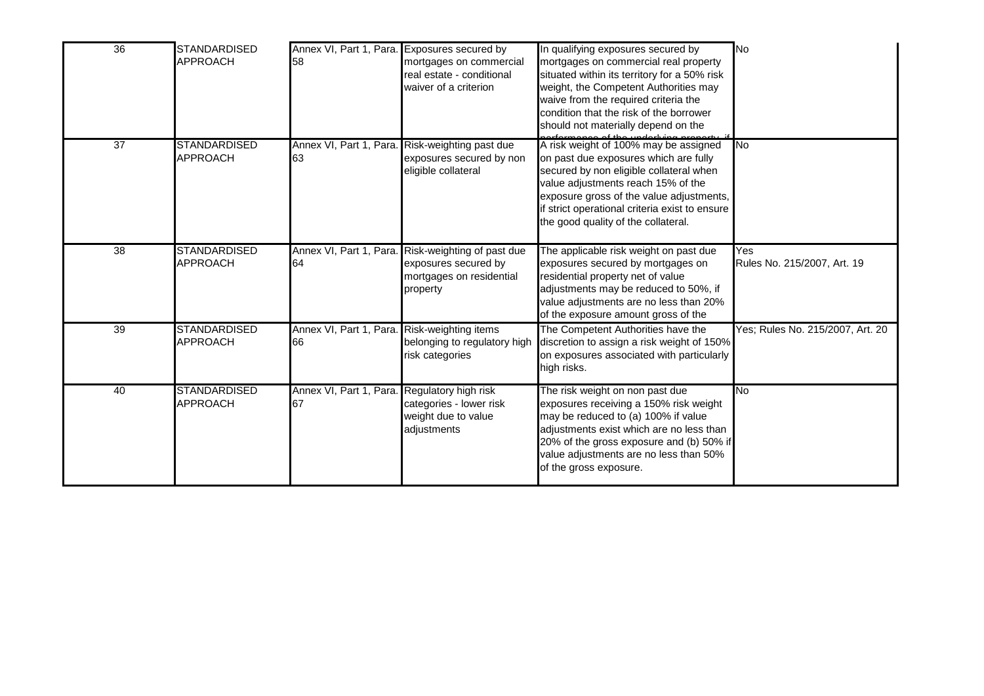| 36              | STANDARDISED<br>APPROACH               | Annex VI, Part 1, Para. Exposures secured by<br>58 | mortgages on commercial<br>real estate - conditional<br>waiver of a criterion                      | In qualifying exposures secured by<br>mortgages on commercial real property<br>situated within its territory for a 50% risk<br>weight, the Competent Authorities may<br>waive from the required criteria the<br>condition that the risk of the borrower<br>should not materially depend on the                                                      | <b>No</b>                          |
|-----------------|----------------------------------------|----------------------------------------------------|----------------------------------------------------------------------------------------------------|-----------------------------------------------------------------------------------------------------------------------------------------------------------------------------------------------------------------------------------------------------------------------------------------------------------------------------------------------------|------------------------------------|
| $\overline{37}$ | <b>STANDARDISED</b><br><b>APPROACH</b> | 63                                                 | Annex VI, Part 1, Para. Risk-weighting past due<br>exposures secured by non<br>eligible collateral | as for monopole of the underluing property.<br>A risk weight of 100% may be assigned<br>on past due exposures which are fully<br>secured by non eligible collateral when<br>value adjustments reach 15% of the<br>exposure gross of the value adjustments,<br>if strict operational criteria exist to ensure<br>the good quality of the collateral. | <b>No</b>                          |
| 38              | <b>STANDARDISED</b><br><b>APPROACH</b> | Annex VI, Part 1, Para.<br>64                      | Risk-weighting of past due<br>exposures secured by<br>mortgages on residential<br>property         | The applicable risk weight on past due<br>exposures secured by mortgages on<br>residential property net of value<br>adjustments may be reduced to 50%, if<br>value adjustments are no less than 20%<br>of the exposure amount gross of the                                                                                                          | Yes<br>Rules No. 215/2007, Art. 19 |
| 39              | <b>STANDARDISED</b><br><b>APPROACH</b> | Annex VI, Part 1, Para. Risk-weighting items<br>66 | belonging to regulatory high<br>risk categories                                                    | The Competent Authorities have the<br>discretion to assign a risk weight of 150%<br>on exposures associated with particularly<br>high risks.                                                                                                                                                                                                        | Yes; Rules No. 215/2007, Art. 20   |
| 40              | <b>STANDARDISED</b><br>APPROACH        | Annex VI, Part 1, Para. Regulatory high risk<br>67 | categories - lower risk<br>weight due to value<br>adjustments                                      | The risk weight on non past due<br>exposures receiving a 150% risk weight<br>may be reduced to (a) 100% if value<br>adjustments exist which are no less than<br>20% of the gross exposure and (b) 50% if<br>value adjustments are no less than 50%<br>of the gross exposure.                                                                        | No                                 |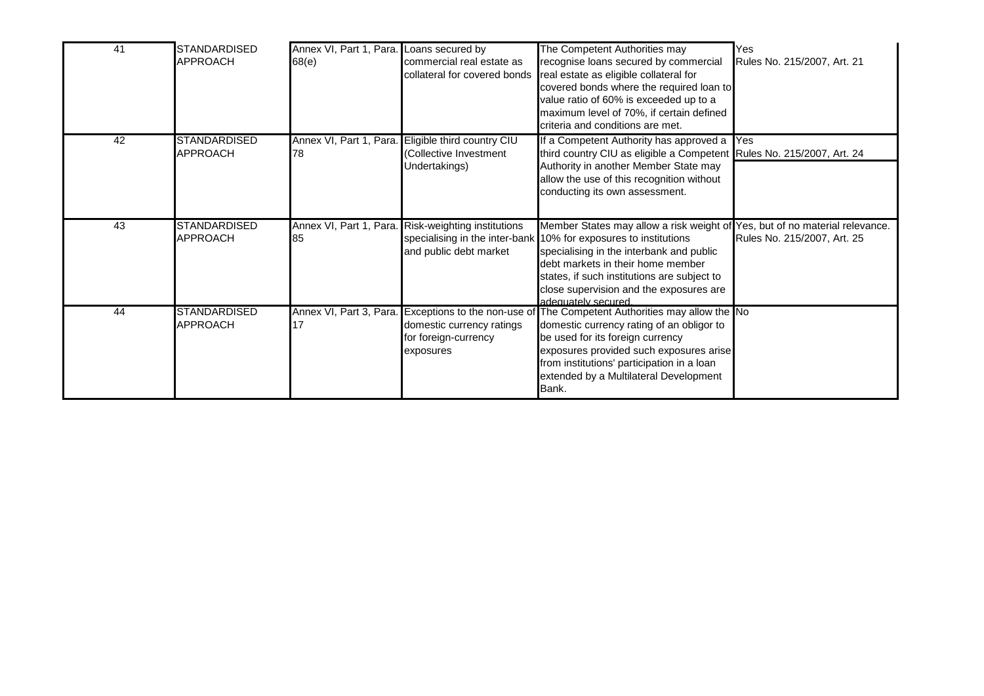| 41              | <b>STANDARDISED</b><br><b>APPROACH</b> | Annex VI, Part 1, Para. Loans secured by<br>68(e) | commercial real estate as<br>collateral for covered bonds                                      | The Competent Authorities may<br>recognise loans secured by commercial<br>real estate as eligible collateral for<br>covered bonds where the required loan to<br>value ratio of 60% is exceeded up to a<br>maximum level of 70%, if certain defined<br>criteria and conditions are met.                                                           | Yes<br>Rules No. 215/2007, Art. 21 |
|-----------------|----------------------------------------|---------------------------------------------------|------------------------------------------------------------------------------------------------|--------------------------------------------------------------------------------------------------------------------------------------------------------------------------------------------------------------------------------------------------------------------------------------------------------------------------------------------------|------------------------------------|
| $\overline{42}$ | <b>STANDARDISED</b><br><b>APPROACH</b> | Annex VI, Part 1, Para.<br>78                     | Eligible third country CIU<br>Collective Investment<br>Undertakings)                           | If a Competent Authority has approved a Yes<br>third country CIU as eligible a Competent Rules No. 215/2007, Art. 24<br>Authority in another Member State may<br>allow the use of this recognition without<br>conducting its own assessment.                                                                                                     |                                    |
| 43              | <b>STANDARDISED</b><br><b>APPROACH</b> | 85                                                | Annex VI, Part 1, Para. Risk-weighting institutions<br>and public debt market                  | Member States may allow a risk weight of Yes, but of no material relevance.<br>specialising in the inter-bank 10% for exposures to institutions<br>specialising in the interbank and public<br>debt markets in their home member<br>states, if such institutions are subject to<br>close supervision and the exposures are<br>adequately secured | Rules No. 215/2007, Art. 25        |
| 44              | <b>STANDARDISED</b><br><b>APPROACH</b> | Annex VI, Part 3, Para.<br>17                     | Exceptions to the non-use of<br>domestic currency ratings<br>for foreign-currency<br>exposures | The Competent Authorities may allow the No<br>domestic currency rating of an obligor to<br>be used for its foreign currency<br>exposures provided such exposures arise<br>from institutions' participation in a loan<br>extended by a Multilateral Development<br>Bank.                                                                          |                                    |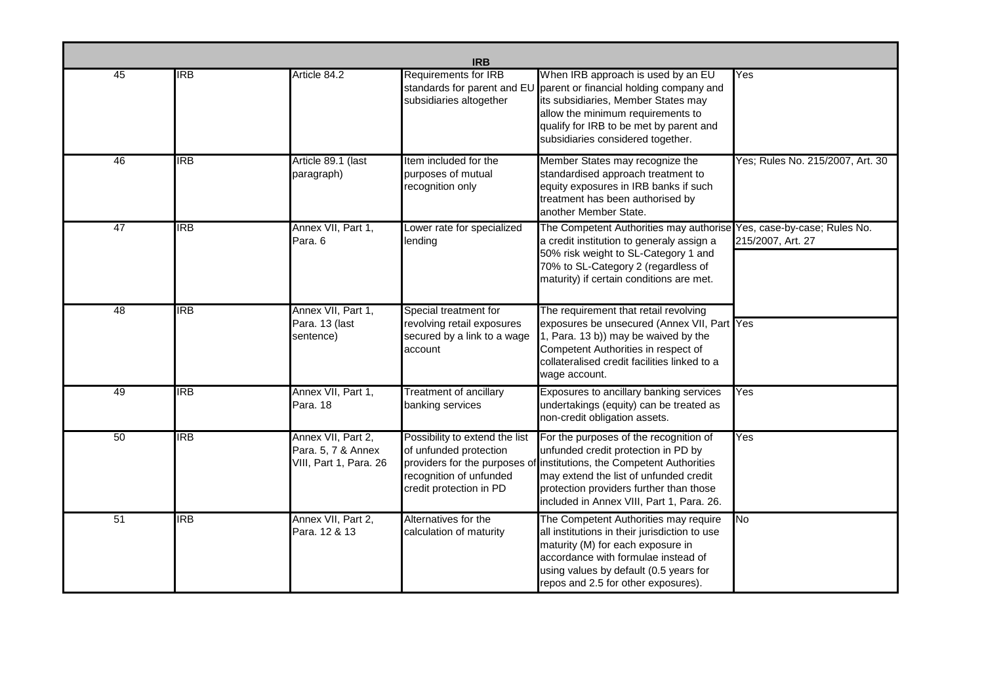|    | <b>IRB</b> |                                                                    |                                                                                                                                                 |                                                                                                                                                                                                                                                            |                                  |  |  |  |  |
|----|------------|--------------------------------------------------------------------|-------------------------------------------------------------------------------------------------------------------------------------------------|------------------------------------------------------------------------------------------------------------------------------------------------------------------------------------------------------------------------------------------------------------|----------------------------------|--|--|--|--|
| 45 | <b>IRB</b> | Article 84.2                                                       | Requirements for IRB<br>standards for parent and EU<br>subsidiaries altogether                                                                  | When IRB approach is used by an EU<br>parent or financial holding company and<br>its subsidiaries, Member States may<br>allow the minimum requirements to<br>qualify for IRB to be met by parent and<br>subsidiaries considered together.                  | Yes                              |  |  |  |  |
| 46 | IRB        | Article 89.1 (last<br>paragraph)                                   | Item included for the<br>purposes of mutual<br>recognition only                                                                                 | Member States may recognize the<br>standardised approach treatment to<br>equity exposures in IRB banks if such<br>treatment has been authorised by<br>another Member State.                                                                                | Yes; Rules No. 215/2007, Art. 30 |  |  |  |  |
| 47 | <b>IRB</b> | Annex VII, Part 1,<br>Para. 6                                      | Lower rate for specialized<br>lending                                                                                                           | The Competent Authorities may authorise Yes, case-by-case; Rules No.<br>a credit institution to generaly assign a<br>50% risk weight to SL-Category 1 and<br>70% to SL-Category 2 (regardless of<br>maturity) if certain conditions are met.               | 215/2007, Art. 27                |  |  |  |  |
| 48 | <b>IRB</b> | Annex VII, Part 1,<br>Para. 13 (last<br>sentence)                  | Special treatment for<br>revolving retail exposures<br>secured by a link to a wage<br>account                                                   | The requirement that retail revolving<br>exposures be unsecured (Annex VII, Part Yes<br>1, Para. 13 b)) may be waived by the<br>Competent Authorities in respect of<br>collateralised credit facilities linked to a<br>wage account.                       |                                  |  |  |  |  |
| 49 | <b>IRB</b> | Annex VII, Part 1,<br>Para. 18                                     | <b>Treatment of ancillary</b><br>banking services                                                                                               | Exposures to ancillary banking services<br>undertakings (equity) can be treated as<br>non-credit obligation assets.                                                                                                                                        | Yes                              |  |  |  |  |
| 50 | <b>IRB</b> | Annex VII, Part 2,<br>Para. 5, 7 & Annex<br>VIII, Part 1, Para. 26 | Possibility to extend the list<br>of unfunded protection<br>providers for the purposes of<br>recognition of unfunded<br>credit protection in PD | For the purposes of the recognition of<br>unfunded credit protection in PD by<br>institutions, the Competent Authorities<br>may extend the list of unfunded credit<br>protection providers further than those<br>included in Annex VIII, Part 1, Para. 26. | Yes                              |  |  |  |  |
| 51 | <b>IRB</b> | Annex VII, Part 2,<br>Para. 12 & 13                                | Alternatives for the<br>calculation of maturity                                                                                                 | The Competent Authorities may require<br>all institutions in their jurisdiction to use<br>maturity (M) for each exposure in<br>accordance with formulae instead of<br>using values by default (0.5 years for<br>repos and 2.5 for other exposures).        | No                               |  |  |  |  |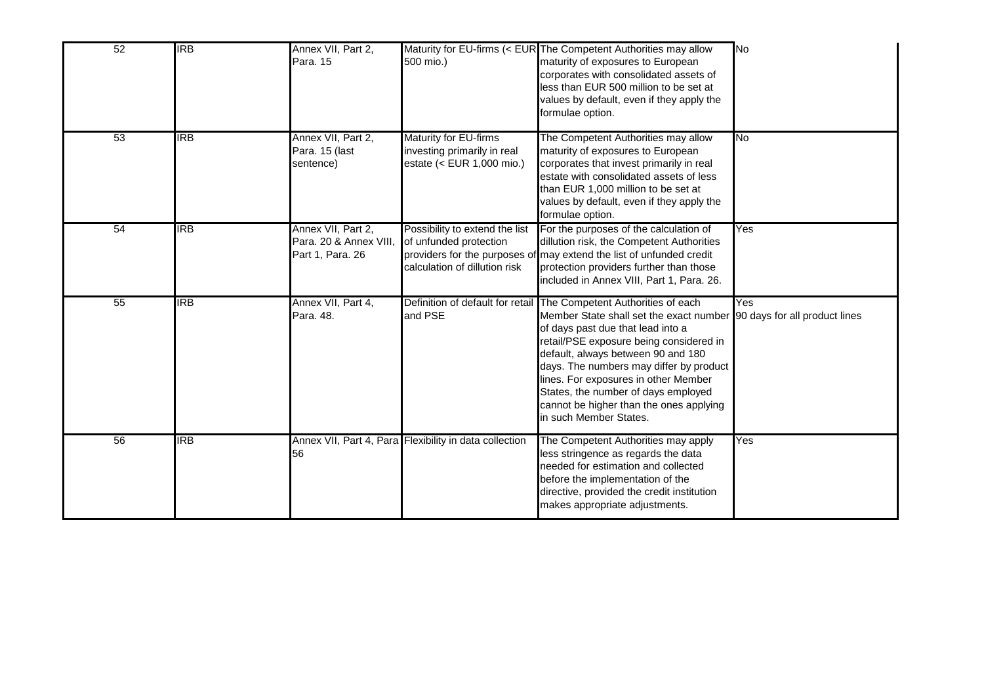| 52              | <b>IRB</b>       | Annex VII, Part 2,<br>Para, 15                                   | 500 mio.)                                                                                 | Maturity for EU-firms (< EUR The Competent Authorities may allow<br>maturity of exposures to European<br>corporates with consolidated assets of<br>less than EUR 500 million to be set at<br>values by default, even if they apply the<br>formulae option.                                                                                                                                                                                                       | N <sub>o</sub> |
|-----------------|------------------|------------------------------------------------------------------|-------------------------------------------------------------------------------------------|------------------------------------------------------------------------------------------------------------------------------------------------------------------------------------------------------------------------------------------------------------------------------------------------------------------------------------------------------------------------------------------------------------------------------------------------------------------|----------------|
| $\overline{53}$ | <b>IRB</b>       | Annex VII, Part 2,<br>Para. 15 (last<br>sentence)                | Maturity for EU-firms<br>investing primarily in real<br>estate (< EUR 1,000 mio.)         | The Competent Authorities may allow<br>maturity of exposures to European<br>corporates that invest primarily in real<br>estate with consolidated assets of less<br>than EUR 1,000 million to be set at<br>values by default, even if they apply the<br>formulae option.                                                                                                                                                                                          | No             |
| 54              | $\overline{IRB}$ | Annex VII, Part 2,<br>Para. 20 & Annex VIII,<br>Part 1, Para. 26 | Possibility to extend the list<br>of unfunded protection<br>calculation of dillution risk | For the purposes of the calculation of<br>dillution risk, the Competent Authorities<br>providers for the purposes of may extend the list of unfunded credit<br>protection providers further than those<br>included in Annex VIII, Part 1, Para. 26.                                                                                                                                                                                                              | Yes            |
| 55              | <b>IRB</b>       | Annex VII, Part 4,<br>Para. 48.                                  | and PSE                                                                                   | Definition of default for retail The Competent Authorities of each<br>Member State shall set the exact number 90 days for all product lines<br>of days past due that lead into a<br>retail/PSE exposure being considered in<br>default, always between 90 and 180<br>days. The numbers may differ by product<br>lines. For exposures in other Member<br>States, the number of days employed<br>cannot be higher than the ones applying<br>in such Member States. | Yes            |
| 56              | IRB              | 56                                                               | Annex VII, Part 4, Para Flexibility in data collection                                    | The Competent Authorities may apply<br>less stringence as regards the data<br>needed for estimation and collected<br>before the implementation of the<br>directive, provided the credit institution<br>makes appropriate adjustments.                                                                                                                                                                                                                            | Yes            |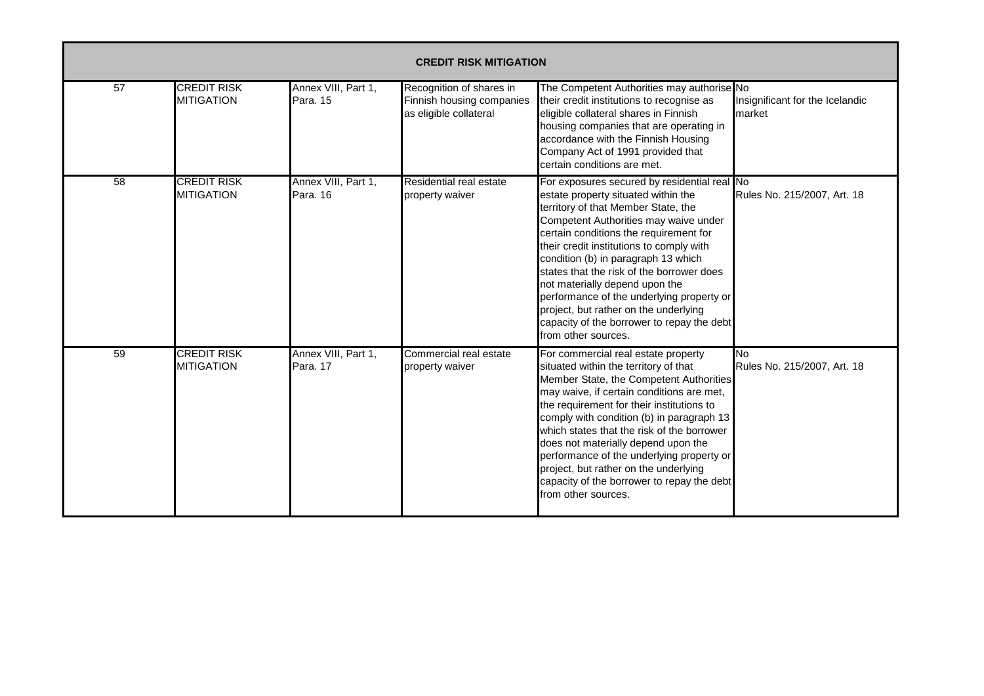|                 | <b>CREDIT RISK MITIGATION</b>           |                                 |                                                                                 |                                                                                                                                                                                                                                                                                                                                                                                                                                                                                                                                            |                                           |  |  |  |
|-----------------|-----------------------------------------|---------------------------------|---------------------------------------------------------------------------------|--------------------------------------------------------------------------------------------------------------------------------------------------------------------------------------------------------------------------------------------------------------------------------------------------------------------------------------------------------------------------------------------------------------------------------------------------------------------------------------------------------------------------------------------|-------------------------------------------|--|--|--|
| 57              | <b>CREDIT RISK</b><br><b>MITIGATION</b> | Annex VIII, Part 1,<br>Para, 15 | Recognition of shares in<br>Finnish housing companies<br>as eligible collateral | The Competent Authorities may authorise No<br>their credit institutions to recognise as<br>eligible collateral shares in Finnish<br>housing companies that are operating in<br>accordance with the Finnish Housing<br>Company Act of 1991 provided that<br>certain conditions are met.                                                                                                                                                                                                                                                     | Insignificant for the Icelandic<br>market |  |  |  |
| $\overline{58}$ | <b>CREDIT RISK</b><br><b>MITIGATION</b> | Annex VIII, Part 1,<br>Para, 16 | Residential real estate<br>property waiver                                      | For exposures secured by residential real No<br>estate property situated within the<br>territory of that Member State, the<br>Competent Authorities may waive under<br>certain conditions the requirement for<br>their credit institutions to comply with<br>condition (b) in paragraph 13 which<br>states that the risk of the borrower does<br>not materially depend upon the<br>performance of the underlying property or<br>project, but rather on the underlying<br>capacity of the borrower to repay the debt<br>from other sources. | Rules No. 215/2007, Art. 18               |  |  |  |
| 59              | <b>CREDIT RISK</b><br><b>MITIGATION</b> | Annex VIII, Part 1,<br>Para, 17 | Commercial real estate<br>property waiver                                       | For commercial real estate property<br>situated within the territory of that<br>Member State, the Competent Authorities<br>may waive, if certain conditions are met,<br>the requirement for their institutions to<br>comply with condition (b) in paragraph 13<br>which states that the risk of the borrower<br>does not materially depend upon the<br>performance of the underlying property or<br>project, but rather on the underlying<br>capacity of the borrower to repay the debt<br>from other sources.                             | <b>No</b><br>Rules No. 215/2007, Art. 18  |  |  |  |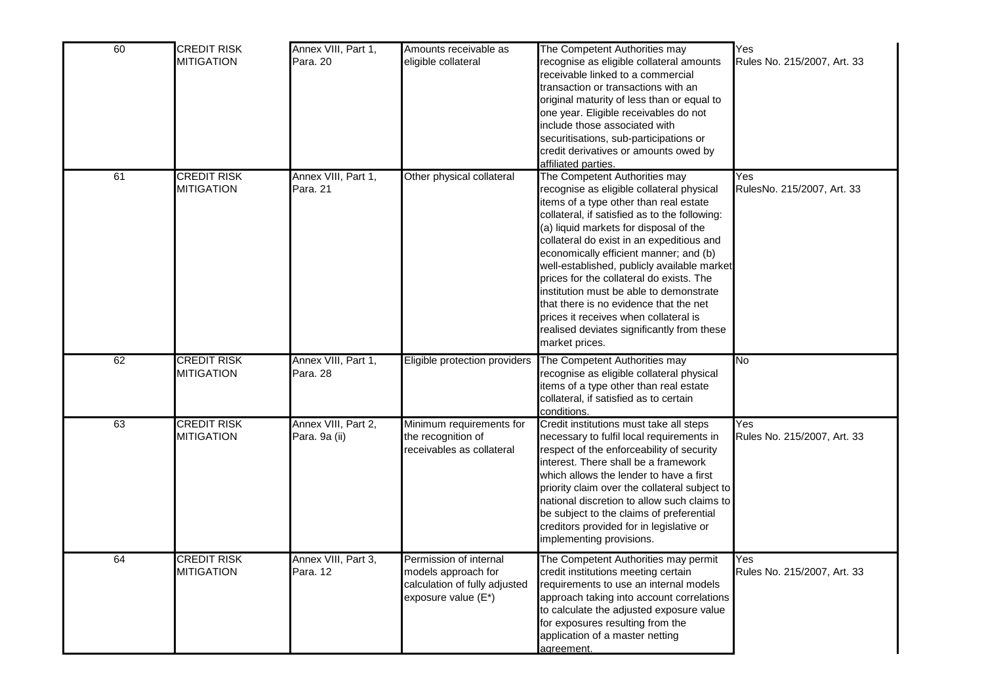| 60 | <b>CREDIT RISK</b><br><b>MITIGATION</b> | Annex VIII, Part 1,<br>Para, 20      | Amounts receivable as<br>eligible collateral                                                          | The Competent Authorities may<br>ecognise as eligible collateral amounts<br>eceivable linked to a commercial<br>transaction or transactions with an<br>original maturity of less than or equal to<br>one year. Eligible receivables do not<br>include those associated with<br>securitisations, sub-participations or<br>credit derivatives or amounts owed by<br>affiliated parties.                                                                                                                                                                                                         | Yes<br>Rules No. 215/2007, Art. 33 |
|----|-----------------------------------------|--------------------------------------|-------------------------------------------------------------------------------------------------------|-----------------------------------------------------------------------------------------------------------------------------------------------------------------------------------------------------------------------------------------------------------------------------------------------------------------------------------------------------------------------------------------------------------------------------------------------------------------------------------------------------------------------------------------------------------------------------------------------|------------------------------------|
| 61 | <b>CREDIT RISK</b><br><b>MITIGATION</b> | Annex VIII, Part 1,<br>Para. 21      | Other physical collateral                                                                             | The Competent Authorities may<br>recognise as eligible collateral physical<br>tems of a type other than real estate<br>collateral, if satisfied as to the following:<br>(a) liquid markets for disposal of the<br>collateral do exist in an expeditious and<br>economically efficient manner; and (b)<br>well-established, publicly available market<br>prices for the collateral do exists. The<br>nstitution must be able to demonstrate<br>that there is no evidence that the net<br>prices it receives when collateral is<br>realised deviates significantly from these<br>market prices. | Yes<br>RulesNo. 215/2007, Art. 33  |
| 62 | <b>CREDIT RISK</b><br><b>MITIGATION</b> | Annex VIII, Part 1,<br>Para. 28      | Eligible protection providers                                                                         | The Competent Authorities may<br>recognise as eligible collateral physical<br>tems of a type other than real estate<br>collateral, if satisfied as to certain<br>conditions.                                                                                                                                                                                                                                                                                                                                                                                                                  | No                                 |
| 63 | <b>CREDIT RISK</b><br><b>MITIGATION</b> | Annex VIII, Part 2,<br>Para. 9a (ii) | Minimum requirements for<br>the recognition of<br>receivables as collateral                           | Credit institutions must take all steps<br>necessary to fulfil local requirements in<br>respect of the enforceability of security<br>interest. There shall be a framework<br>which allows the lender to have a first<br>priority claim over the collateral subject to<br>national discretion to allow such claims to<br>be subject to the claims of preferential<br>creditors provided for in legislative or<br>implementing provisions.                                                                                                                                                      | Yes<br>Rules No. 215/2007, Art. 33 |
| 64 | <b>CREDIT RISK</b><br><b>MITIGATION</b> | Annex VIII, Part 3,<br>Para. 12      | Permission of internal<br>models approach for<br>calculation of fully adjusted<br>exposure value (E*) | The Competent Authorities may permit<br>credit institutions meeting certain<br>requirements to use an internal models<br>approach taking into account correlations<br>to calculate the adjusted exposure value<br>for exposures resulting from the<br>application of a master netting<br>agreement.                                                                                                                                                                                                                                                                                           | Yes<br>Rules No. 215/2007, Art. 33 |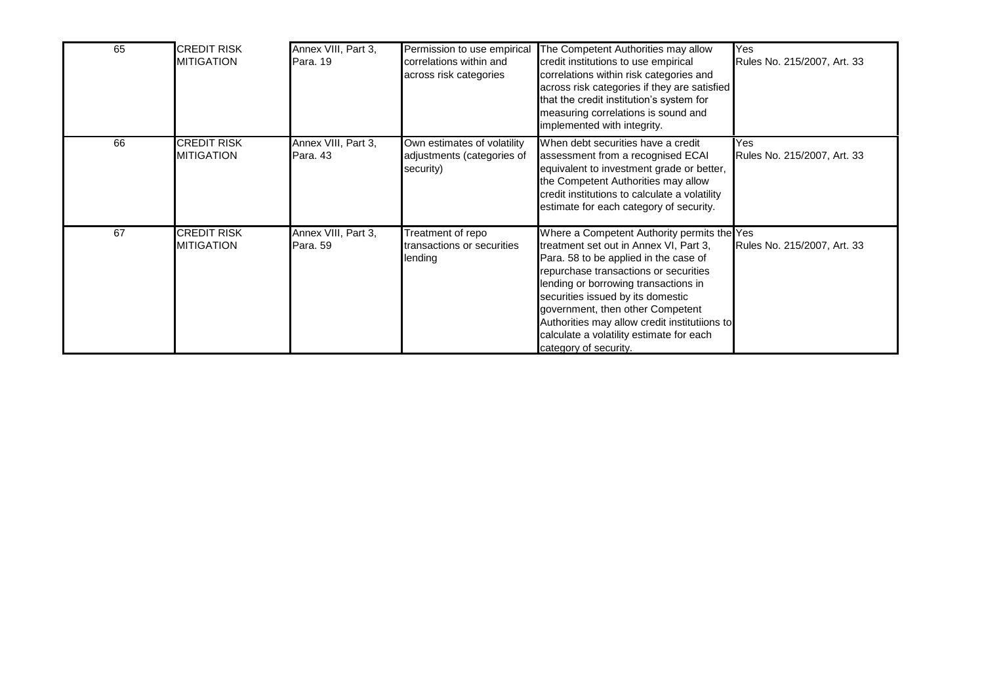| 65 | <b>CREDIT RISK</b><br><b>MITIGATION</b> | Annex VIII, Part 3,<br>Para, 19 | Permission to use empirical<br>correlations within and<br>across risk categories | The Competent Authorities may allow<br>credit institutions to use empirical<br>correlations within risk categories and<br>across risk categories if they are satisfied<br>that the credit institution's system for<br>measuring correlations is sound and<br>implemented with integrity.                                                                                                                       | Yes<br>Rules No. 215/2007, Art. 33 |
|----|-----------------------------------------|---------------------------------|----------------------------------------------------------------------------------|----------------------------------------------------------------------------------------------------------------------------------------------------------------------------------------------------------------------------------------------------------------------------------------------------------------------------------------------------------------------------------------------------------------|------------------------------------|
| 66 | CREDIT RISK<br><b>MITIGATION</b>        | Annex VIII, Part 3,<br>Para, 43 | Own estimates of volatility<br>adjustments (categories of<br>security)           | When debt securities have a credit<br>assessment from a recognised ECAI<br>equivalent to investment grade or better,<br>the Competent Authorities may allow<br>credit institutions to calculate a volatility<br>estimate for each category of security.                                                                                                                                                        | Yes<br>Rules No. 215/2007, Art. 33 |
| 67 | CREDIT RISK<br><b>MITIGATION</b>        | Annex VIII, Part 3,<br>Para, 59 | Treatment of repo<br>transactions or securities<br>lending                       | Where a Competent Authority permits the Yes<br>treatment set out in Annex VI, Part 3,<br>Para. 58 to be applied in the case of<br>repurchase transactions or securities<br>lending or borrowing transactions in<br>securities issued by its domestic<br>government, then other Competent<br>Authorities may allow credit institutiions to<br>calculate a volatility estimate for each<br>category of security. | <b>Rules No. 215/2007, Art. 33</b> |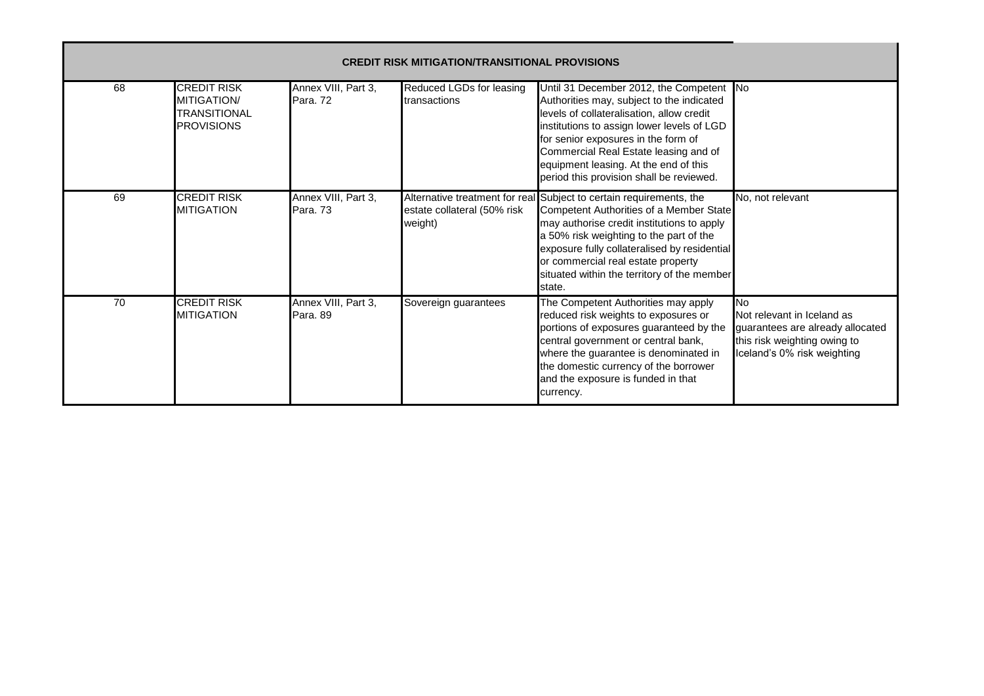| 68 | <b>CREDIT RISK</b><br><b>MITIGATION/</b><br><b>TRANSITIONAL</b><br><b>PROVISIONS</b> | Annex VIII, Part 3,<br>Para, 72 | Reduced LGDs for leasing<br>transactions | Until 31 December 2012, the Competent No<br>Authorities may, subject to the indicated<br>levels of collateralisation, allow credit<br>institutions to assign lower levels of LGD<br>for senior exposures in the form of<br>Commercial Real Estate leasing and of<br>equipment leasing. At the end of this<br>period this provision shall be reviewed.  |                                                                                                                                      |
|----|--------------------------------------------------------------------------------------|---------------------------------|------------------------------------------|--------------------------------------------------------------------------------------------------------------------------------------------------------------------------------------------------------------------------------------------------------------------------------------------------------------------------------------------------------|--------------------------------------------------------------------------------------------------------------------------------------|
| 69 | <b>CREDIT RISK</b><br><b>MITIGATION</b>                                              | Annex VIII, Part 3,<br>Para, 73 | estate collateral (50% risk<br>weight)   | Alternative treatment for real Subject to certain requirements, the<br>Competent Authorities of a Member State<br>may authorise credit institutions to apply<br>a 50% risk weighting to the part of the<br>exposure fully collateralised by residential<br>or commercial real estate property<br>situated within the territory of the member<br>state. | No, not relevant                                                                                                                     |
| 70 | <b>CREDIT RISK</b><br><b>MITIGATION</b>                                              | Annex VIII, Part 3,<br>Para, 89 | Sovereign guarantees                     | The Competent Authorities may apply<br>reduced risk weights to exposures or<br>portions of exposures guaranteed by the<br>central government or central bank,<br>where the guarantee is denominated in<br>the domestic currency of the borrower<br>and the exposure is funded in that<br>currency.                                                     | No.<br>Not relevant in Iceland as<br>guarantees are already allocated<br>this risk weighting owing to<br>Iceland's 0% risk weighting |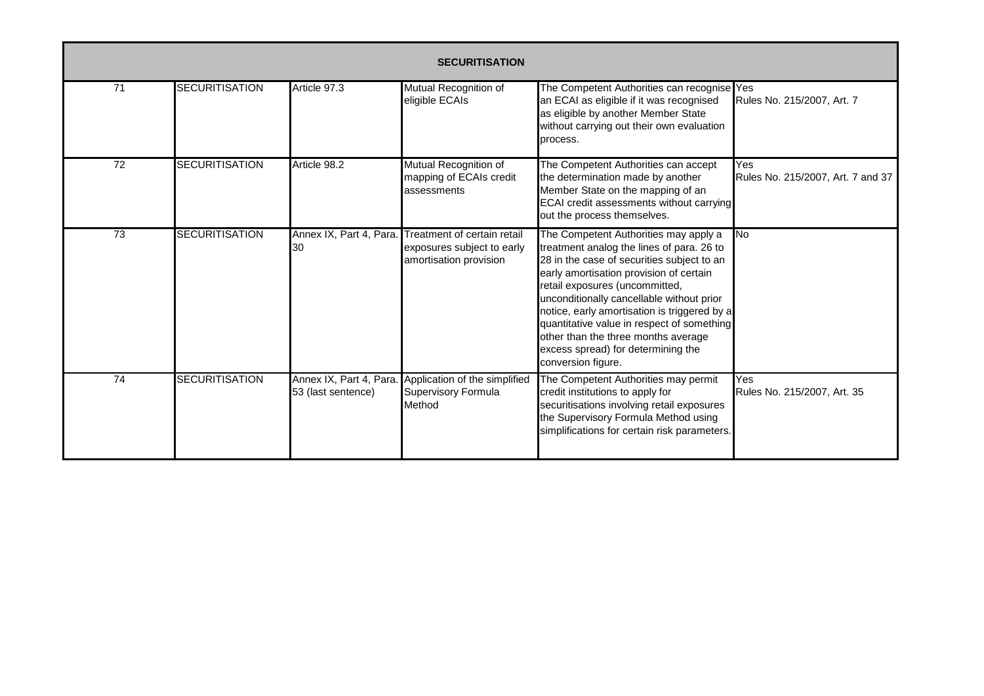|                 | <b>SECURITISATION</b> |                                               |                                                                                     |                                                                                                                                                                                                                                                                                                                                                                                                                                                             |                                          |  |  |  |
|-----------------|-----------------------|-----------------------------------------------|-------------------------------------------------------------------------------------|-------------------------------------------------------------------------------------------------------------------------------------------------------------------------------------------------------------------------------------------------------------------------------------------------------------------------------------------------------------------------------------------------------------------------------------------------------------|------------------------------------------|--|--|--|
| 71              | <b>SECURITISATION</b> | Article 97.3                                  | Mutual Recognition of<br>eligible ECAIs                                             | The Competent Authorities can recognise Yes<br>an ECAI as eligible if it was recognised<br>as eligible by another Member State<br>without carrying out their own evaluation<br>process.                                                                                                                                                                                                                                                                     | Rules No. 215/2007, Art. 7               |  |  |  |
| $\overline{72}$ | <b>SECURITISATION</b> | Article 98.2                                  | Mutual Recognition of<br>mapping of ECAIs credit<br>assessments                     | The Competent Authorities can accept<br>the determination made by another<br>Member State on the mapping of an<br>ECAI credit assessments without carrying<br>out the process themselves.                                                                                                                                                                                                                                                                   | Yes<br>Rules No. 215/2007, Art. 7 and 37 |  |  |  |
| $\overline{73}$ | <b>SECURITISATION</b> | Annex IX, Part 4, Para.<br>30                 | Treatment of certain retail<br>exposures subject to early<br>amortisation provision | The Competent Authorities may apply a<br>treatment analog the lines of para. 26 to<br>28 in the case of securities subject to an<br>early amortisation provision of certain<br>retail exposures (uncommitted,<br>unconditionally cancellable without prior<br>notice, early amortisation is triggered by a<br>quantitative value in respect of something<br>other than the three months average<br>excess spread) for determining the<br>conversion figure. | No.                                      |  |  |  |
| 74              | <b>SECURITISATION</b> | Annex IX, Part 4, Para.<br>53 (last sentence) | Application of the simplified<br>Supervisory Formula<br>Method                      | The Competent Authorities may permit<br>credit institutions to apply for<br>securitisations involving retail exposures<br>the Supervisory Formula Method using<br>simplifications for certain risk parameters.                                                                                                                                                                                                                                              | Yes<br>Rules No. 215/2007, Art. 35       |  |  |  |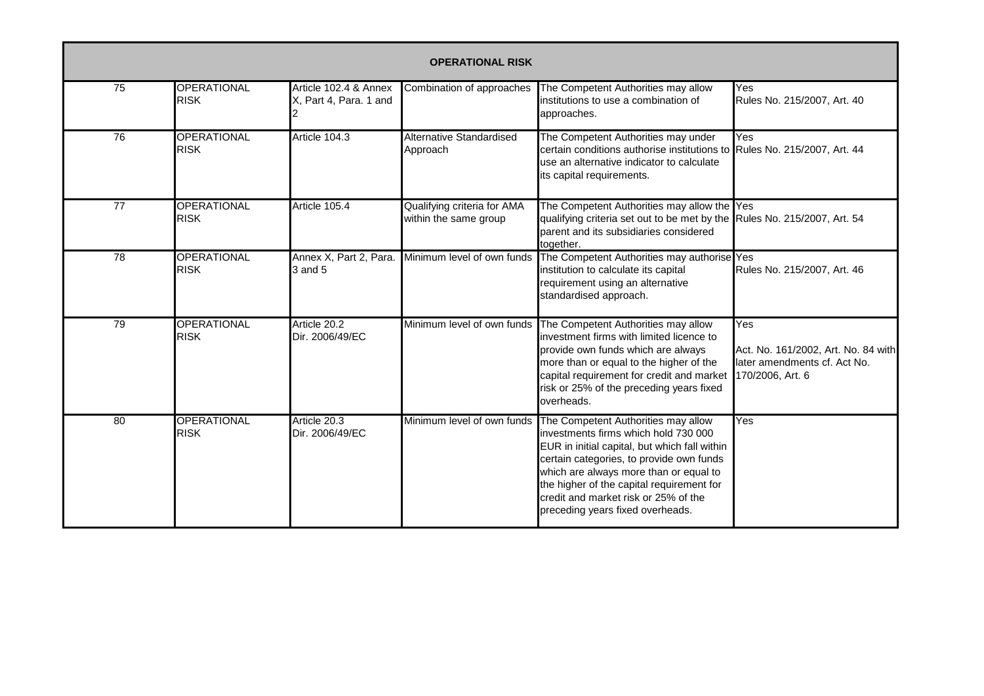|                 | <b>OPERATIONAL RISK</b>           |                                                 |                                                      |                                                                                                                                                                                                                                                                                                                                             |                                                                                                |  |  |  |
|-----------------|-----------------------------------|-------------------------------------------------|------------------------------------------------------|---------------------------------------------------------------------------------------------------------------------------------------------------------------------------------------------------------------------------------------------------------------------------------------------------------------------------------------------|------------------------------------------------------------------------------------------------|--|--|--|
| 75              | <b>OPERATIONAL</b><br><b>RISK</b> | Article 102.4 & Annex<br>X, Part 4, Para. 1 and | Combination of approaches                            | The Competent Authorities may allow<br>institutions to use a combination of<br>approaches.                                                                                                                                                                                                                                                  | Yes<br>Rules No. 215/2007, Art. 40                                                             |  |  |  |
| 76              | <b>OPERATIONAL</b><br><b>RISK</b> | Article 104.3                                   | <b>Alternative Standardised</b><br>Approach          | The Competent Authorities may under<br>certain conditions authorise institutions to<br>use an alternative indicator to calculate<br>its capital requirements.                                                                                                                                                                               | Yes<br>Rules No. 215/2007, Art. 44                                                             |  |  |  |
| $\overline{77}$ | <b>OPERATIONAL</b><br><b>RISK</b> | Article 105.4                                   | Qualifying criteria for AMA<br>within the same group | The Competent Authorities may allow the Yes<br>qualifying criteria set out to be met by the Rules No. 215/2007, Art. 54<br>parent and its subsidiaries considered<br>together.                                                                                                                                                              |                                                                                                |  |  |  |
| 78              | <b>OPERATIONAL</b><br><b>RISK</b> | 3 and 5                                         | Annex X, Part 2, Para. Minimum level of own funds    | The Competent Authorities may authorise Yes<br>institution to calculate its capital<br>requirement using an alternative<br>standardised approach.                                                                                                                                                                                           | Rules No. 215/2007, Art. 46                                                                    |  |  |  |
| 79              | <b>OPERATIONAL</b><br><b>RISK</b> | Article 20.2<br>Dir. 2006/49/EC                 | Minimum level of own funds                           | The Competent Authorities may allow<br>investment firms with limited licence to<br>provide own funds which are always<br>more than or equal to the higher of the<br>capital requirement for credit and market<br>risk or 25% of the preceding years fixed<br>overheads.                                                                     | Yes<br>Act. No. 161/2002, Art. No. 84 with<br>later amendments cf. Act No.<br>170/2006, Art. 6 |  |  |  |
| 80              | <b>OPERATIONAL</b><br><b>RISK</b> | Article 20.3<br>Dir. 2006/49/EC                 | Minimum level of own funds                           | The Competent Authorities may allow<br>investments firms which hold 730 000<br>EUR in initial capital, but which fall within<br>certain categories, to provide own funds<br>which are always more than or equal to<br>the higher of the capital requirement for<br>credit and market risk or 25% of the<br>preceding years fixed overheads. | Yes                                                                                            |  |  |  |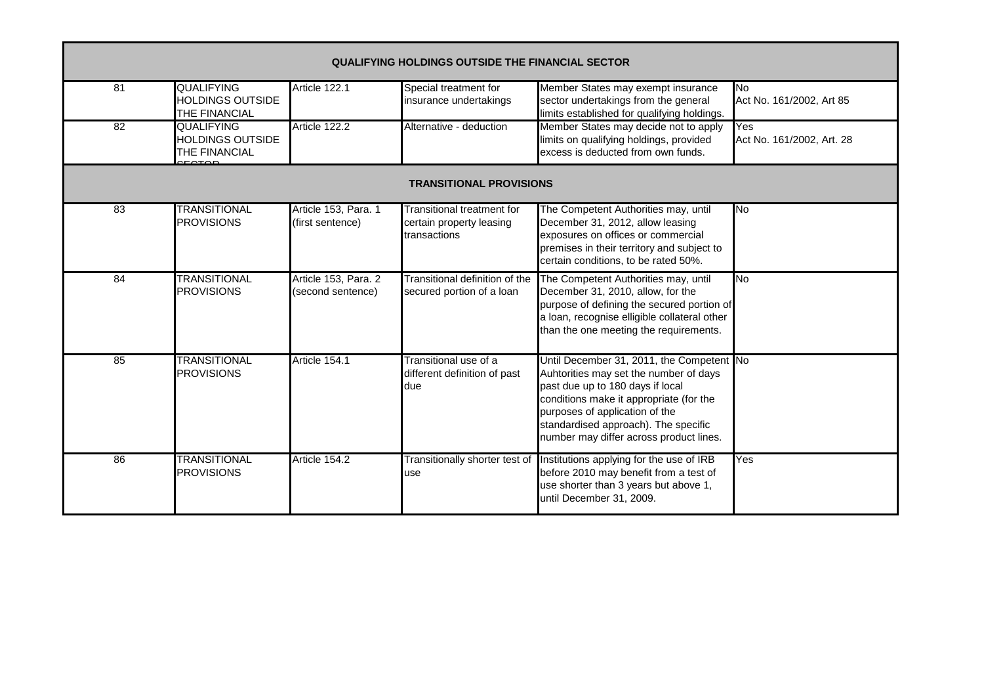|                 | <b>QUALIFYING HOLDINGS OUTSIDE THE FINANCIAL SECTOR</b>       |                                           |                                                                               |                                                                                                                                                                                                                                                                                         |                                                      |  |  |  |  |  |
|-----------------|---------------------------------------------------------------|-------------------------------------------|-------------------------------------------------------------------------------|-----------------------------------------------------------------------------------------------------------------------------------------------------------------------------------------------------------------------------------------------------------------------------------------|------------------------------------------------------|--|--|--|--|--|
| 81              | <b>QUALIFYING</b><br><b>HOLDINGS OUTSIDE</b><br>THE FINANCIAL | Article 122.1                             | Special treatment for<br>insurance undertakings                               | Member States may exempt insurance<br>sector undertakings from the general<br>limits established for qualifying holdings.                                                                                                                                                               | No<br>Act No. 161/2002, Art 85                       |  |  |  |  |  |
| $\overline{82}$ | <b>QUALIFYING</b><br><b>HOLDINGS OUTSIDE</b><br>THE FINANCIAL | Article 122.2                             | Alternative - deduction                                                       | Member States may decide not to apply<br>limits on qualifying holdings, provided<br>excess is deducted from own funds.                                                                                                                                                                  | $\overline{\text{Yes}}$<br>Act No. 161/2002, Art. 28 |  |  |  |  |  |
|                 | <b>TRANSITIONAL PROVISIONS</b>                                |                                           |                                                                               |                                                                                                                                                                                                                                                                                         |                                                      |  |  |  |  |  |
| 83              | <b>TRANSITIONAL</b><br><b>PROVISIONS</b>                      | Article 153, Para. 1<br>(first sentence)  | <b>Transitional treatment for</b><br>certain property leasing<br>transactions | The Competent Authorities may, until<br>December 31, 2012, allow leasing<br>exposures on offices or commercial<br>premises in their territory and subject to<br>certain conditions, to be rated 50%.                                                                                    | Μo                                                   |  |  |  |  |  |
| 84              | <b>TRANSITIONAL</b><br><b>PROVISIONS</b>                      | Article 153, Para. 2<br>(second sentence) | Transitional definition of the<br>secured portion of a loan                   | The Competent Authorities may, until<br>December 31, 2010, allow, for the<br>purpose of defining the secured portion of<br>a loan, recognise elligible collateral other<br>than the one meeting the requirements.                                                                       | <b>No</b>                                            |  |  |  |  |  |
| 85              | <b>TRANSITIONAL</b><br><b>PROVISIONS</b>                      | Article 154.1                             | Transitional use of a<br>different definition of past<br>due                  | Until December 31, 2011, the Competent No<br>Auhtorities may set the number of days<br>past due up to 180 days if local<br>conditions make it appropriate (for the<br>purposes of application of the<br>standardised approach). The specific<br>number may differ across product lines. |                                                      |  |  |  |  |  |
| 86              | <b>TRANSITIONAL</b><br><b>PROVISIONS</b>                      | Article 154.2                             | Transitionally shorter test of<br>use                                         | Institutions applying for the use of IRB<br>before 2010 may benefit from a test of<br>use shorter than 3 years but above 1,<br>until December 31, 2009.                                                                                                                                 | Yes                                                  |  |  |  |  |  |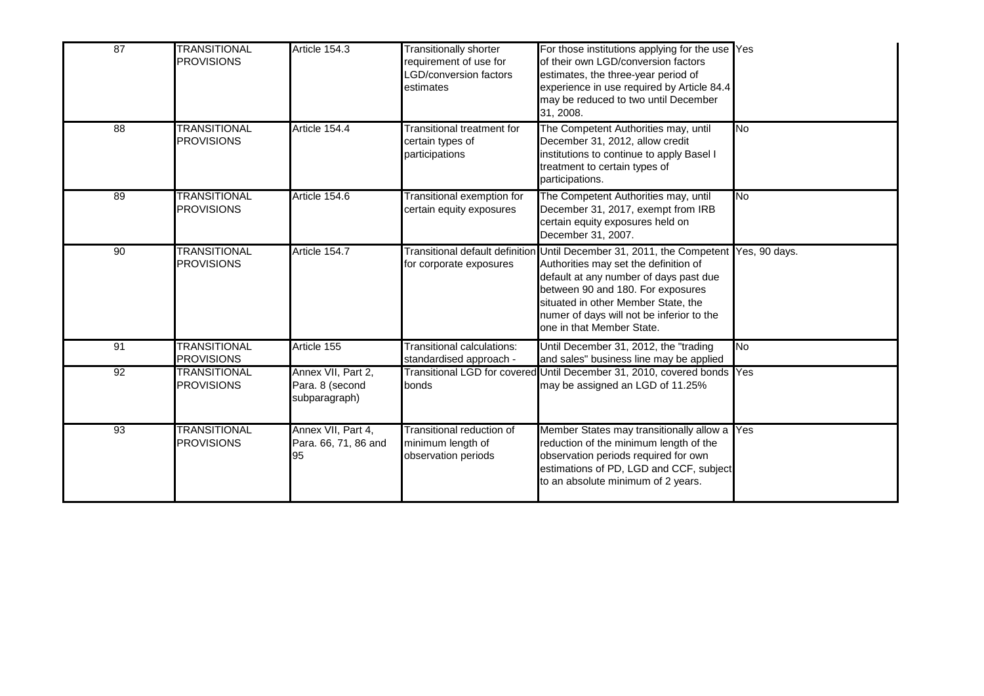| 87 | <b>TRANSITIONAL</b><br><b>PROVISIONS</b> | Article 154.3                                          | <b>Transitionally shorter</b><br>requirement of use for<br>LGD/conversion factors<br>estimates | For those institutions applying for the use Yes<br>of their own LGD/conversion factors<br>estimates, the three-year period of<br>experience in use required by Article 84.4<br>may be reduced to two until December<br>31, 2008.                                                              |           |
|----|------------------------------------------|--------------------------------------------------------|------------------------------------------------------------------------------------------------|-----------------------------------------------------------------------------------------------------------------------------------------------------------------------------------------------------------------------------------------------------------------------------------------------|-----------|
| 88 | <b>TRANSITIONAL</b><br><b>PROVISIONS</b> | Article 154.4                                          | Transitional treatment for<br>certain types of<br>participations                               | The Competent Authorities may, until<br>December 31, 2012, allow credit<br>institutions to continue to apply Basel I<br>treatment to certain types of<br>participations.                                                                                                                      | <b>No</b> |
| 89 | <b>TRANSITIONAL</b><br><b>PROVISIONS</b> | Article 154.6                                          | Transitional exemption for<br>certain equity exposures                                         | The Competent Authorities may, until<br>December 31, 2017, exempt from IRB<br>certain equity exposures held on<br>December 31, 2007.                                                                                                                                                          | No        |
| 90 | <b>TRANSITIONAL</b><br><b>PROVISIONS</b> | Article 154.7                                          | Transitional default definition<br>for corporate exposures                                     | Until December 31, 2011, the Competent Yes, 90 days.<br>Authorities may set the definition of<br>default at any number of days past due<br>between 90 and 180. For exposures<br>situated in other Member State, the<br>numer of days will not be inferior to the<br>one in that Member State. |           |
| 91 | <b>TRANSITIONAL</b><br><b>PROVISIONS</b> | Article 155                                            | Transitional calculations:<br>standardised approach -                                          | Until December 31, 2012, the "trading<br>and sales" business line may be applied                                                                                                                                                                                                              | No        |
| 92 | <b>TRANSITIONAL</b><br><b>PROVISIONS</b> | Annex VII, Part 2,<br>Para. 8 (second<br>subparagraph) | bonds                                                                                          | Transitional LGD for covered Until December 31, 2010, covered bonds Yes<br>may be assigned an LGD of 11.25%                                                                                                                                                                                   |           |
| 93 | <b>TRANSITIONAL</b><br><b>PROVISIONS</b> | Annex VII, Part 4,<br>Para. 66, 71, 86 and<br>95       | Transitional reduction of<br>minimum length of<br>observation periods                          | Member States may transitionally allow a Yes<br>reduction of the minimum length of the<br>observation periods required for own<br>estimations of PD, LGD and CCF, subject<br>to an absolute minimum of 2 years.                                                                               |           |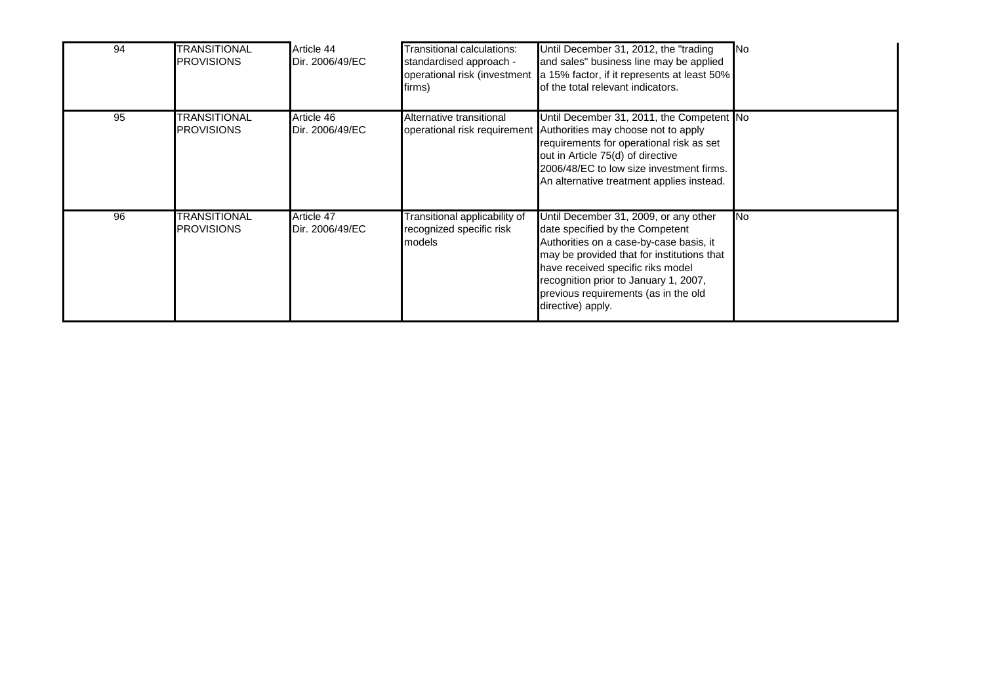| 94 | <b>TRANSITIONAL</b><br><b>PROVISIONS</b> | Article 44<br>Dir. 2006/49/EC | Transitional calculations:<br>standardised approach -<br>operational risk (investment<br>firms) | Until December 31, 2012, the "trading"<br>and sales" business line may be applied<br>a 15% factor, if it represents at least 50%<br>of the total relevant indicators.                                                                                                                                        | <b>INo</b> |
|----|------------------------------------------|-------------------------------|-------------------------------------------------------------------------------------------------|--------------------------------------------------------------------------------------------------------------------------------------------------------------------------------------------------------------------------------------------------------------------------------------------------------------|------------|
| 95 | <b>TRANSITIONAL</b><br><b>PROVISIONS</b> | Article 46<br>Dir. 2006/49/EC | Alternative transitional                                                                        | Until December 31, 2011, the Competent No<br>operational risk requirement Authorities may choose not to apply<br>requirements for operational risk as set<br>out in Article 75(d) of directive<br>2006/48/EC to low size investment firms.<br>An alternative treatment applies instead.                      |            |
| 96 | TRANSITIONAL<br><b>PROVISIONS</b>        | Article 47<br>Dir. 2006/49/EC | Transitional applicability of<br>recognized specific risk<br>models                             | Until December 31, 2009, or any other<br>date specified by the Competent<br>Authorities on a case-by-case basis, it<br>may be provided that for institutions that<br>have received specific riks model<br>recognition prior to January 1, 2007,<br>previous requirements (as in the old<br>directive) apply. | <b>INo</b> |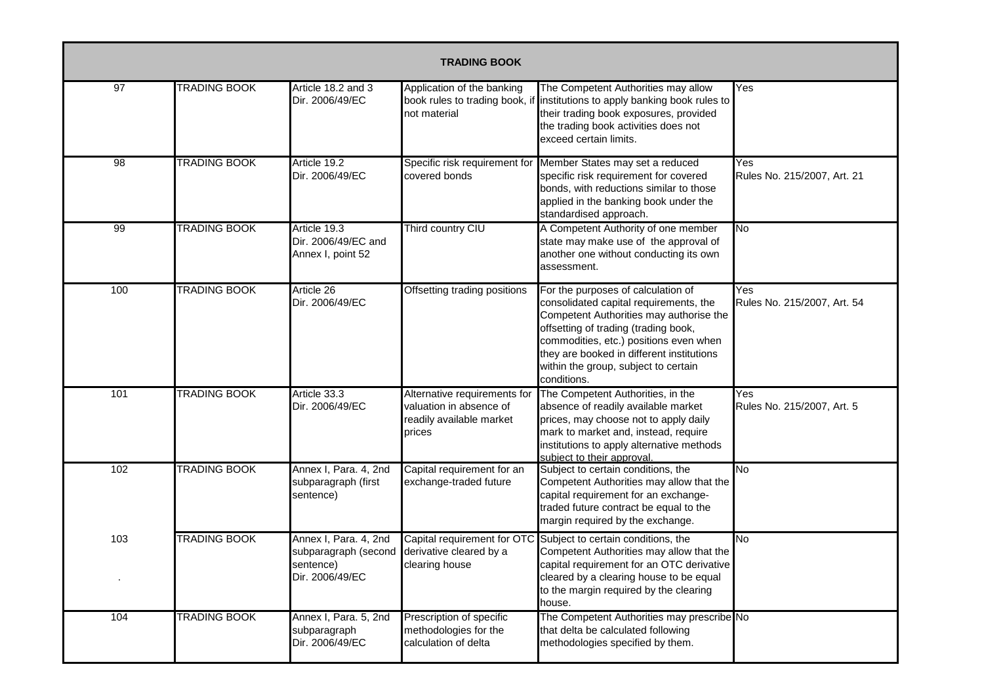| <b>TRADING BOOK</b> |                     |                                                                                                       |                                                                                               |                                                                                                                                                                                                                                                                                                               |                                    |  |  |
|---------------------|---------------------|-------------------------------------------------------------------------------------------------------|-----------------------------------------------------------------------------------------------|---------------------------------------------------------------------------------------------------------------------------------------------------------------------------------------------------------------------------------------------------------------------------------------------------------------|------------------------------------|--|--|
| 97                  | <b>TRADING BOOK</b> | Article 18.2 and 3<br>Dir. 2006/49/EC                                                                 | Application of the banking<br>book rules to trading book, if<br>not material                  | The Competent Authorities may allow<br>institutions to apply banking book rules to<br>their trading book exposures, provided<br>the trading book activities does not<br>exceed certain limits.                                                                                                                | Yes                                |  |  |
| 98                  | TRADING BOOK        | Article 19.2<br>Dir. 2006/49/EC                                                                       | Specific risk requirement for<br>covered bonds                                                | Member States may set a reduced<br>specific risk requirement for covered<br>bonds, with reductions similar to those<br>applied in the banking book under the<br>standardised approach.                                                                                                                        | Yes<br>Rules No. 215/2007, Art. 21 |  |  |
| 99                  | <b>TRADING BOOK</b> | Article 19.3<br>Dir. 2006/49/EC and<br>Annex I, point 52                                              | Third country CIU                                                                             | A Competent Authority of one member<br>state may make use of the approval of<br>another one without conducting its own<br>assessment.                                                                                                                                                                         | No                                 |  |  |
| 100                 | TRADING BOOK        | Article 26<br>Dir. 2006/49/EC                                                                         | Offsetting trading positions                                                                  | For the purposes of calculation of<br>consolidated capital requirements, the<br>Competent Authorities may authorise the<br>offsetting of trading (trading book,<br>commodities, etc.) positions even when<br>they are booked in different institutions<br>within the group, subject to certain<br>conditions. | Yes<br>Rules No. 215/2007, Art. 54 |  |  |
| 101                 | <b>TRADING BOOK</b> | Article 33.3<br>Dir. 2006/49/EC                                                                       | Alternative requirements for<br>valuation in absence of<br>readily available market<br>prices | The Competent Authorities, in the<br>absence of readily available market<br>prices, may choose not to apply daily<br>mark to market and, instead, require<br>institutions to apply alternative methods<br>subject to their approval.                                                                          | Yes<br>Rules No. 215/2007, Art. 5  |  |  |
| 102                 | <b>TRADING BOOK</b> | Annex I, Para. 4, 2nd<br>subparagraph (first<br>sentence)                                             | Capital requirement for an<br>exchange-traded future                                          | Subject to certain conditions, the<br>Competent Authorities may allow that the<br>capital requirement for an exchange-<br>traded future contract be equal to the<br>margin required by the exchange.                                                                                                          | No                                 |  |  |
| 103                 | <b>TRADING BOOK</b> | Annex I, Para. 4, 2nd<br>subparagraph (second derivative cleared by a<br>sentence)<br>Dir. 2006/49/EC | clearing house                                                                                | Capital requirement for OTC Subject to certain conditions, the<br>Competent Authorities may allow that the<br>capital requirement for an OTC derivative<br>cleared by a clearing house to be equal<br>to the margin required by the clearing<br>house.                                                        | <b>No</b>                          |  |  |
| 104                 | <b>TRADING BOOK</b> | Annex I, Para. 5, 2nd<br>subparagraph<br>Dir. 2006/49/EC                                              | Prescription of specific<br>methodologies for the<br>calculation of delta                     | The Competent Authorities may prescribe No<br>that delta be calculated following<br>methodologies specified by them.                                                                                                                                                                                          |                                    |  |  |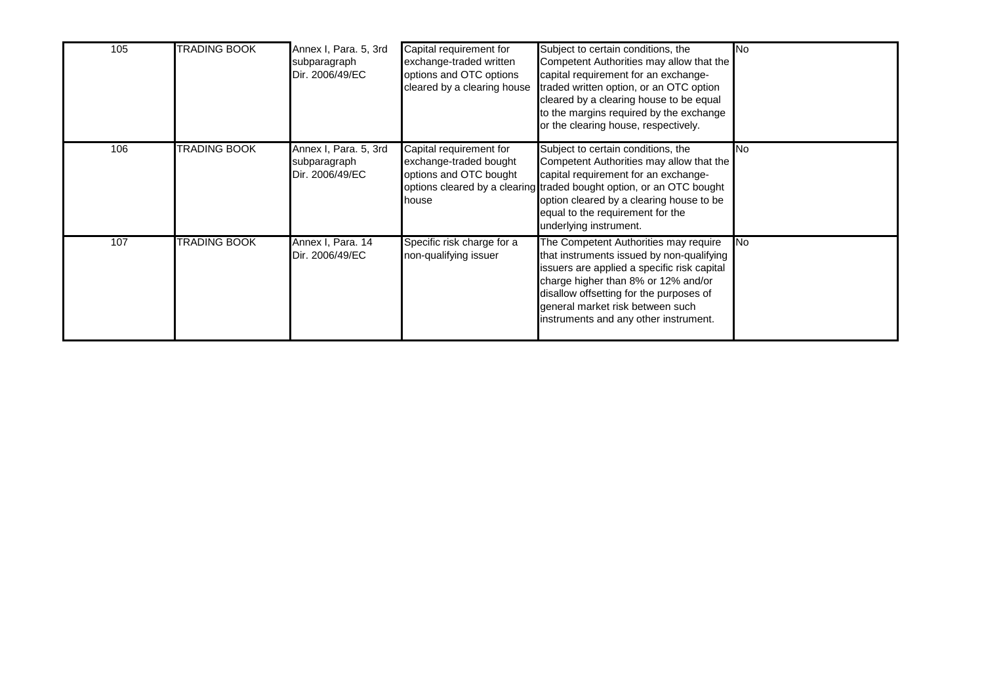| 105 | <b>TRADING BOOK</b> | Annex I, Para. 5, 3rd<br>subparagraph<br>Dir. 2006/49/EC | Capital requirement for<br>exchange-traded written<br>options and OTC options<br>cleared by a clearing house | Subject to certain conditions, the<br>Competent Authorities may allow that the<br>capital requirement for an exchange-<br>traded written option, or an OTC option<br>cleared by a clearing house to be equal<br>to the margins required by the exchange<br>or the clearing house, respectively.          | <b>INo</b> |
|-----|---------------------|----------------------------------------------------------|--------------------------------------------------------------------------------------------------------------|----------------------------------------------------------------------------------------------------------------------------------------------------------------------------------------------------------------------------------------------------------------------------------------------------------|------------|
| 106 | TRADING BOOK        | Annex I, Para. 5, 3rd<br>subparagraph<br>Dir. 2006/49/EC | Capital requirement for<br>exchange-traded bought<br>options and OTC bought<br>house                         | Subject to certain conditions, the<br>Competent Authorities may allow that the<br>capital requirement for an exchange-<br>options cleared by a clearing traded bought option, or an OTC bought<br>option cleared by a clearing house to be<br>equal to the requirement for the<br>underlying instrument. | <b>INo</b> |
| 107 | TRADING BOOK        | Annex I, Para. 14<br>Dir. 2006/49/EC                     | Specific risk charge for a<br>non-qualifying issuer                                                          | The Competent Authorities may require<br>that instruments issued by non-qualifying<br>issuers are applied a specific risk capital<br>charge higher than 8% or 12% and/or<br>disallow offsetting for the purposes of<br>general market risk between such<br>instruments and any other instrument.         | <b>INo</b> |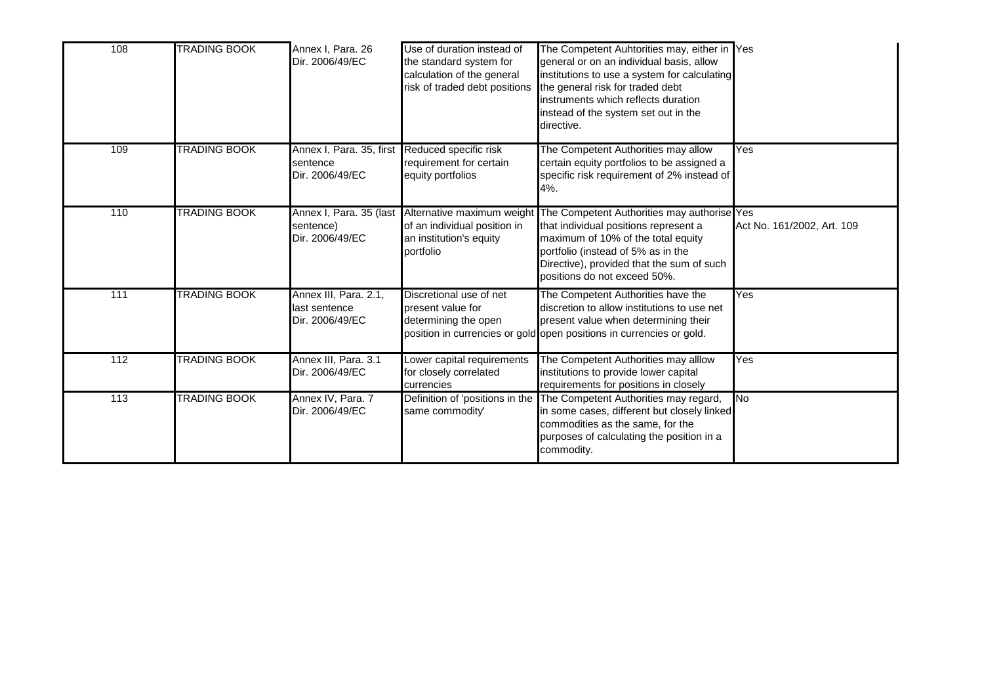| 108 | <b>TRADING BOOK</b> | Annex I, Para. 26<br>Dir. 2006/49/EC                      | Use of duration instead of<br>the standard system for<br>calculation of the general<br>risk of traded debt positions | The Competent Auhtorities may, either in Yes<br>general or on an individual basis, allow<br>institutions to use a system for calculating<br>the general risk for traded debt<br>instruments which reflects duration<br>instead of the system set out in the<br>directive. |                            |
|-----|---------------------|-----------------------------------------------------------|----------------------------------------------------------------------------------------------------------------------|---------------------------------------------------------------------------------------------------------------------------------------------------------------------------------------------------------------------------------------------------------------------------|----------------------------|
| 109 | <b>TRADING BOOK</b> | Annex I, Para. 35, first<br>sentence<br>Dir. 2006/49/EC   | Reduced specific risk<br>requirement for certain<br>equity portfolios                                                | The Competent Authorities may allow<br>certain equity portfolios to be assigned a<br>specific risk requirement of 2% instead of<br>4%.                                                                                                                                    | Yes                        |
| 110 | <b>TRADING BOOK</b> | Annex I, Para. 35 (last<br>sentence)<br>Dir. 2006/49/EC   | Alternative maximum weight<br>of an individual position in<br>an institution's equity<br>portfolio                   | The Competent Authorities may authorise Yes<br>that individual positions represent a<br>maximum of 10% of the total equity<br>portfolio (instead of 5% as in the<br>Directive), provided that the sum of such<br>positions do not exceed 50%.                             | Act No. 161/2002, Art. 109 |
| 111 | <b>TRADING BOOK</b> | Annex III, Para. 2.1,<br>last sentence<br>Dir. 2006/49/EC | Discretional use of net<br>present value for<br>determining the open                                                 | The Competent Authorities have the<br>discretion to allow institutions to use net<br>present value when determining their<br>position in currencies or gold open positions in currencies or gold.                                                                         | Yes                        |
| 112 | <b>TRADING BOOK</b> | Annex III, Para. 3.1<br>Dir. 2006/49/EC                   | Lower capital requirements<br>for closely correlated<br>currencies                                                   | The Competent Authorities may alllow<br>institutions to provide lower capital<br>requirements for positions in closely                                                                                                                                                    | Yes                        |
| 113 | TRADING BOOK        | Annex IV, Para. 7<br>Dir. 2006/49/EC                      | Definition of 'positions in the<br>same commodity'                                                                   | The Competent Authorities may regard,<br>in some cases, different but closely linked<br>commodities as the same, for the<br>purposes of calculating the position in a<br>commodity.                                                                                       | No                         |